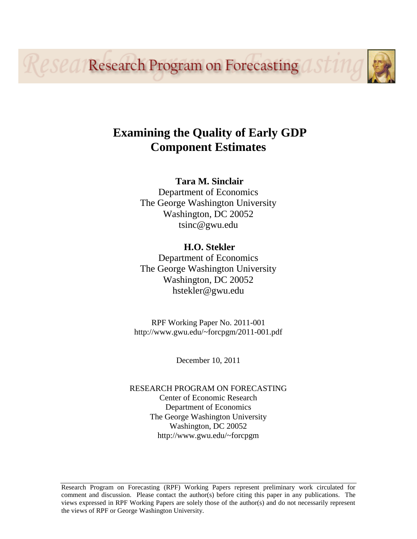*<u>eseal</u>* **Research Program on Forecasting** 

# **Examining the Quality of Early GDP Component Estimates**

### **Tara M. Sinclair**

Department of Economics The George Washington University Washington, DC 20052 tsinc@gwu.edu

**H.O. Stekler**  Department of Economics The George Washington University Washington, DC 20052 hstekler@gwu.edu

RPF Working Paper No. 2011-001 http://www.gwu.edu/~forcpgm/2011-001.pdf

December 10, 2011

RESEARCH PROGRAM ON FORECASTING Center of Economic Research Department of Economics The George Washington University Washington, DC 20052 http://www.gwu.edu/~forcpgm

Research Program on Forecasting (RPF) Working Papers represent preliminary work circulated for comment and discussion. Please contact the author(s) before citing this paper in any publications. The views expressed in RPF Working Papers are solely those of the author(s) and do not necessarily represent the views of RPF or George Washington University.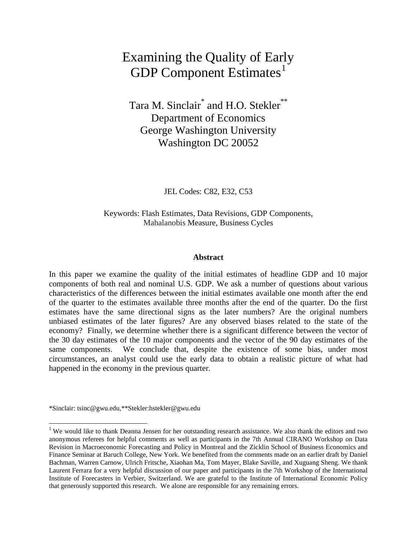# Examining the Quality of Early GDP Component Estimates $<sup>1</sup>$  $<sup>1</sup>$  $<sup>1</sup>$ </sup>

Tara M. Sinclair<sup>\*</sup> and H.O. Stekler<sup>\*\*</sup> Department of Economics George Washington University Washington DC 20052

JEL Codes: C82, E32, C53

Keywords: Flash Estimates, Data Revisions, GDP Components, Mahalanobis Measure, Business Cycles

#### **Abstract**

In this paper we examine the quality of the initial estimates of headline GDP and 10 major components of both real and nominal U.S. GDP. We ask a number of questions about various characteristics of the differences between the initial estimates available one month after the end of the quarter to the estimates available three months after the end of the quarter. Do the first estimates have the same directional signs as the later numbers? Are the original numbers unbiased estimates of the later figures? Are any observed biases related to the state of the economy? Finally, we determine whether there is a significant difference between the vector of the 30 day estimates of the 10 major components and the vector of the 90 day estimates of the same components. We conclude that, despite the existence of some bias, under most circumstances, an analyst could use the early data to obtain a realistic picture of what had happened in the economy in the previous quarter.

<sup>\*</sup>Sinclair: tsinc@gwu.edu,\*\*Stekler:hstekler@gwu.edu

<span id="page-1-0"></span><sup>&</sup>lt;sup>1</sup> We would like to thank Deanna Jensen for her outstanding research assistance. We also thank the editors and two anonymous referees for helpful comments as well as participants in the 7th Annual CIRANO Workshop on Data Revision in Macroeconomic Forecasting and Policy in Montreal and the Zicklin School of Business Economics and Finance Seminar at Baruch College, New York. We benefited from the comments made on an earlier draft by Daniel Bachman, Warren Carnow, Ulrich Fritsche, Xiaohan Ma, Tom Mayer, Blake Saville, and Xuguang Sheng. We thank Laurent Ferrara for a very helpful discussion of our paper and participants in the 7th Workshop of the International Institute of Forecasters in Verbier, Switzerland. We are grateful to the Institute of International Economic Policy that generously supported this research. We alone are responsible for any remaining errors.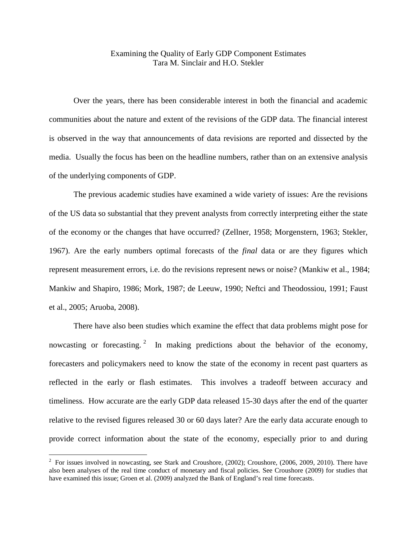### Examining the Quality of Early GDP Component Estimates Tara M. Sinclair and H.O. Stekler

Over the years, there has been considerable interest in both the financial and academic communities about the nature and extent of the revisions of the GDP data. The financial interest is observed in the way that announcements of data revisions are reported and dissected by the media. Usually the focus has been on the headline numbers, rather than on an extensive analysis of the underlying components of GDP.

The previous academic studies have examined a wide variety of issues: Are the revisions of the US data so substantial that they prevent analysts from correctly interpreting either the state of the economy or the changes that have occurred? (Zellner, 1958; Morgenstern, 1963; Stekler, 1967). Are the early numbers optimal forecasts of the *final* data or are they figures which represent measurement errors, i.e. do the revisions represent news or noise? (Mankiw et al., 1984; Mankiw and Shapiro, 1986; Mork, 1987; de Leeuw, 1990; Neftci and Theodossiou, 1991; Faust et al., 2005; Aruoba, 2008).

There have also been studies which examine the effect that data problems might pose for nowcasting or forecasting.  $2 \text{ In making predictions about the behavior of the economy,}$  $2 \text{ In making predictions about the behavior of the economy,}$ forecasters and policymakers need to know the state of the economy in recent past quarters as reflected in the early or flash estimates. This involves a tradeoff between accuracy and timeliness. How accurate are the early GDP data released 15-30 days after the end of the quarter relative to the revised figures released 30 or 60 days later? Are the early data accurate enough to provide correct information about the state of the economy, especially prior to and during

<span id="page-2-0"></span> $\frac{1}{2}$  $\frac{2}{10}$  For issues involved in nowcasting, see Stark and Croushore, (2002); Croushore, (2006, 2009, 2010). There have also been analyses of the real time conduct of monetary and fiscal policies. See Croushore (2009) for studies that have examined this issue; Groen et al. (2009) analyzed the Bank of England's real time forecasts.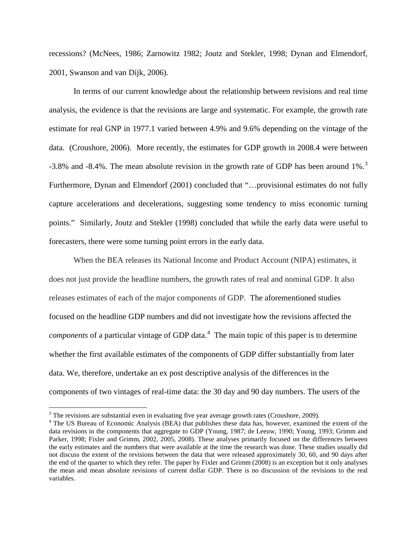recessions? (McNees, 1986; Zarnowitz 1982; Joutz and Stekler, 1998; Dynan and Elmendorf, 2001, Swanson and van Dijk, 2006).

In terms of our current knowledge about the relationship between revisions and real time analysis, the evidence is that the revisions are large and systematic. For example, the growth rate estimate for real GNP in 1977.1 varied between 4.9% and 9.6% depending on the vintage of the data. (Croushore, 2006). More recently, the estimates for GDP growth in 2008.4 were between -[3](#page-3-0).8% and -8.4%. The mean absolute revision in the growth rate of GDP has been around 1%.<sup>3</sup> Furthermore, Dynan and Elmendorf (2001) concluded that "…provisional estimates do not fully capture accelerations and decelerations, suggesting some tendency to miss economic turning points." Similarly, Joutz and Stekler (1998) concluded that while the early data were useful to forecasters, there were some turning point errors in the early data.

When the BEA releases its National Income and Product Account (NIPA) estimates, it does not just provide the headline numbers, the growth rates of real and nominal GDP. It also releases estimates of each of the major components of GDP. The aforementioned studies focused on the headline GDP numbers and did not investigate how the revisions affected the *components* of a particular vintage of GDP data.<sup>[4](#page-3-1)</sup> The main topic of this paper is to determine whether the first available estimates of the components of GDP differ substantially from later data. We, therefore, undertake an ex post descriptive analysis of the differences in the components of two vintages of real-time data: the 30 day and 90 day numbers. The users of the

<span id="page-3-0"></span> $3$  The revisions are substantial even in evaluating five year average growth rates (Croushore, 2009).

<span id="page-3-1"></span><sup>&</sup>lt;sup>4</sup> The US Bureau of Economic Analysis (BEA) that publishes these data has, however, examined the extent of the data revisions in the components that aggregate to GDP (Young, 1987; de Leeuw, 1990; Young, 1993; Grimm and Parker, 1998; Fixler and Grimm, 2002, 2005, 2008). These analyses primarily focused on the differences between the early estimates and the numbers that were available at the time the research was done. These studies usually did not discuss the extent of the revisions between the data that were released approximately 30, 60, and 90 days after the end of the quarter to which they refer. The paper by Fixler and Grimm (2008) is an exception but it only analyses the mean and mean absolute revisions of current dollar GDP. There is no discussion of the revisions to the real variables.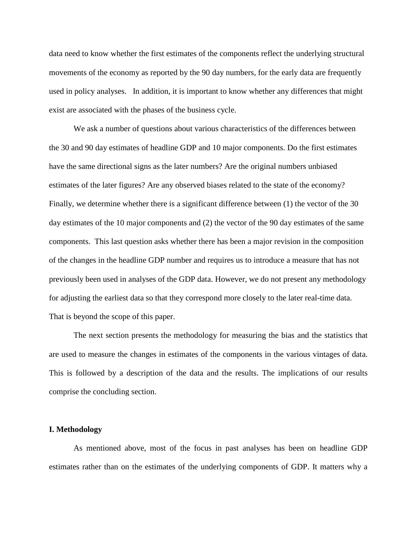data need to know whether the first estimates of the components reflect the underlying structural movements of the economy as reported by the 90 day numbers, for the early data are frequently used in policy analyses. In addition, it is important to know whether any differences that might exist are associated with the phases of the business cycle.

We ask a number of questions about various characteristics of the differences between the 30 and 90 day estimates of headline GDP and 10 major components. Do the first estimates have the same directional signs as the later numbers? Are the original numbers unbiased estimates of the later figures? Are any observed biases related to the state of the economy? Finally, we determine whether there is a significant difference between (1) the vector of the 30 day estimates of the 10 major components and (2) the vector of the 90 day estimates of the same components. This last question asks whether there has been a major revision in the composition of the changes in the headline GDP number and requires us to introduce a measure that has not previously been used in analyses of the GDP data. However, we do not present any methodology for adjusting the earliest data so that they correspond more closely to the later real-time data. That is beyond the scope of this paper.

The next section presents the methodology for measuring the bias and the statistics that are used to measure the changes in estimates of the components in the various vintages of data. This is followed by a description of the data and the results. The implications of our results comprise the concluding section.

#### **I. Methodology**

As mentioned above, most of the focus in past analyses has been on headline GDP estimates rather than on the estimates of the underlying components of GDP. It matters why a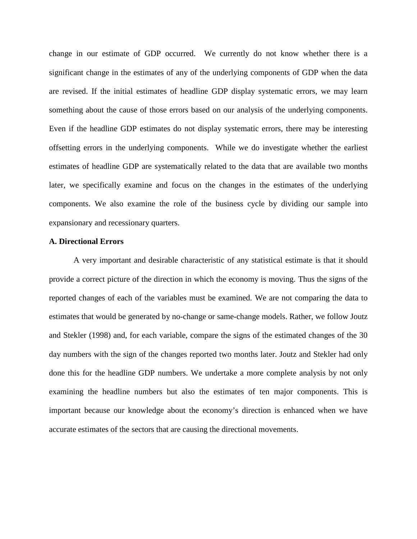change in our estimate of GDP occurred. We currently do not know whether there is a significant change in the estimates of any of the underlying components of GDP when the data are revised. If the initial estimates of headline GDP display systematic errors, we may learn something about the cause of those errors based on our analysis of the underlying components. Even if the headline GDP estimates do not display systematic errors, there may be interesting offsetting errors in the underlying components. While we do investigate whether the earliest estimates of headline GDP are systematically related to the data that are available two months later, we specifically examine and focus on the changes in the estimates of the underlying components. We also examine the role of the business cycle by dividing our sample into expansionary and recessionary quarters.

#### **A. Directional Errors**

A very important and desirable characteristic of any statistical estimate is that it should provide a correct picture of the direction in which the economy is moving. Thus the signs of the reported changes of each of the variables must be examined. We are not comparing the data to estimates that would be generated by no-change or same-change models. Rather, we follow Joutz and Stekler (1998) and, for each variable, compare the signs of the estimated changes of the 30 day numbers with the sign of the changes reported two months later. Joutz and Stekler had only done this for the headline GDP numbers. We undertake a more complete analysis by not only examining the headline numbers but also the estimates of ten major components. This is important because our knowledge about the economy's direction is enhanced when we have accurate estimates of the sectors that are causing the directional movements.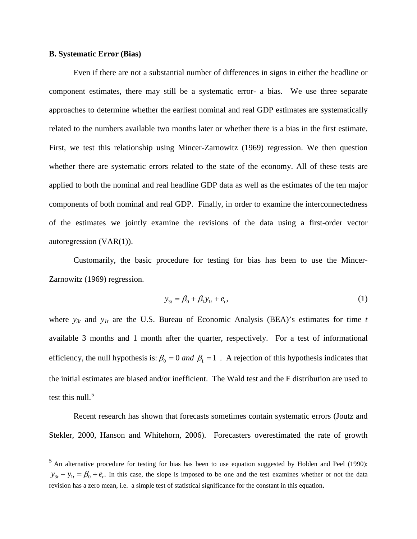#### **B. Systematic Error (Bias)**

Even if there are not a substantial number of differences in signs in either the headline or component estimates, there may still be a systematic error- a bias. We use three separate approaches to determine whether the earliest nominal and real GDP estimates are systematically related to the numbers available two months later or whether there is a bias in the first estimate. First, we test this relationship using Mincer-Zarnowitz (1969) regression. We then question whether there are systematic errors related to the state of the economy. All of these tests are applied to both the nominal and real headline GDP data as well as the estimates of the ten major components of both nominal and real GDP. Finally, in order to examine the interconnectedness of the estimates we jointly examine the revisions of the data using a first-order vector autoregression (VAR(1)).

Customarily, the basic procedure for testing for bias has been to use the Mincer-Zarnowitz (1969) regression.

$$
y_{3t} = \beta_0 + \beta_1 y_{1t} + e_t, \tag{1}
$$

where *y3t* and *y1t* are the U.S. Bureau of Economic Analysis (BEA)'s estimates for time *t* available 3 months and 1 month after the quarter, respectively. For a test of informational efficiency, the null hypothesis is:  $\beta_0 = 0$  and  $\beta_1 = 1$ . A rejection of this hypothesis indicates that the initial estimates are biased and/or inefficient. The Wald test and the F distribution are used to test this null. $5$ 

Recent research has shown that forecasts sometimes contain systematic errors (Joutz and Stekler, 2000, Hanson and Whitehorn, 2006). Forecasters overestimated the rate of growth

<span id="page-6-0"></span> <sup>5</sup> An alternative procedure for testing for bias has been to use equation suggested by Holden and Peel (1990):  $y_{3t} - y_{1t} = \beta_0 + e_t$ . In this case, the slope is imposed to be one and the test examines whether or not the data revision has a zero mean, i.e. a simple test of statistical significance for the constant in this equation.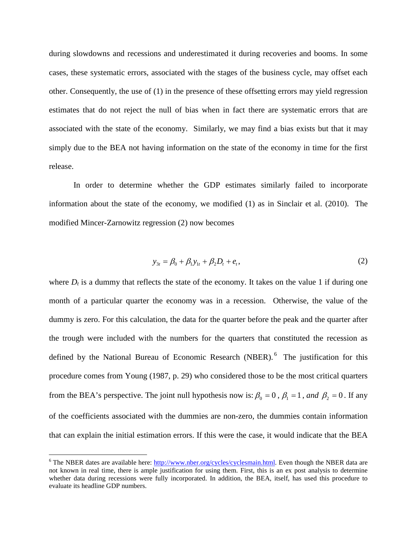during slowdowns and recessions and underestimated it during recoveries and booms. In some cases, these systematic errors, associated with the stages of the business cycle, may offset each other. Consequently, the use of (1) in the presence of these offsetting errors may yield regression estimates that do not reject the null of bias when in fact there are systematic errors that are associated with the state of the economy. Similarly, we may find a bias exists but that it may simply due to the BEA not having information on the state of the economy in time for the first release.

In order to determine whether the GDP estimates similarly failed to incorporate information about the state of the economy, we modified (1) as in Sinclair et al. (2010). The modified Mincer-Zarnowitz regression (2) now becomes

$$
y_{3t} = \beta_0 + \beta_1 y_{1t} + \beta_2 D_t + e_t, \qquad (2)
$$

where  $D_t$  is a dummy that reflects the state of the economy. It takes on the value 1 if during one month of a particular quarter the economy was in a recession. Otherwise, the value of the dummy is zero. For this calculation, the data for the quarter before the peak and the quarter after the trough were included with the numbers for the quarters that constituted the recession as defined by the National Bureau of Economic Research (NBER).<sup>[6](#page-7-0)</sup> The justification for this procedure comes from Young (1987, p. 29) who considered those to be the most critical quarters from the BEA's perspective. The joint null hypothesis now is:  $\beta_0 = 0$ ,  $\beta_1 = 1$ , and  $\beta_2 = 0$ . If any of the coefficients associated with the dummies are non-zero, the dummies contain information that can explain the initial estimation errors. If this were the case, it would indicate that the BEA

<span id="page-7-0"></span><sup>&</sup>lt;sup>6</sup> The NBER dates are available here: [http://www.nber.org/cycles/cyclesmain.html.](http://www.nber.org/cycles/cyclesmain.html) Even though the NBER data are not known in real time, there is ample justification for using them. First, this is an ex post analysis to determine whether data during recessions were fully incorporated. In addition, the BEA, itself, has used this procedure to evaluate its headline GDP numbers.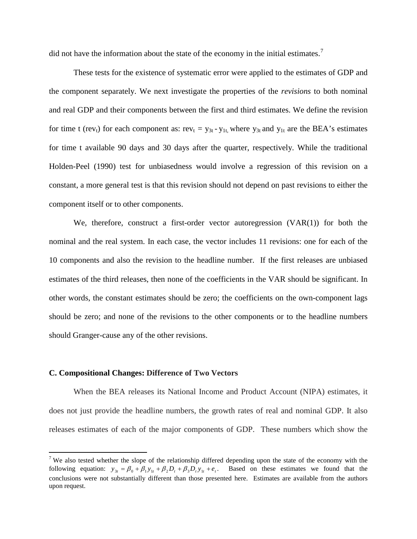did not have the information about the state of the economy in the initial estimates.<sup>[7](#page-8-0)</sup>

These tests for the existence of systematic error were applied to the estimates of GDP and the component separately. We next investigate the properties of the *revisions* to both nominal and real GDP and their components between the first and third estimates. We define the revision for time t (rev<sub>t</sub>) for each component as: rev<sub>t</sub> =  $y_{3t}$ - $y_{1t}$ , where  $y_{3t}$  and  $y_{1t}$  are the BEA's estimates for time t available 90 days and 30 days after the quarter, respectively. While the traditional Holden-Peel (1990) test for unbiasedness would involve a regression of this revision on a constant, a more general test is that this revision should not depend on past revisions to either the component itself or to other components.

We, therefore, construct a first-order vector autoregression  $(VAR(1))$  for both the nominal and the real system. In each case, the vector includes 11 revisions: one for each of the 10 components and also the revision to the headline number. If the first releases are unbiased estimates of the third releases, then none of the coefficients in the VAR should be significant. In other words, the constant estimates should be zero; the coefficients on the own-component lags should be zero; and none of the revisions to the other components or to the headline numbers should Granger-cause any of the other revisions.

#### **C. Compositional Changes: Difference of Two Vectors**

When the BEA releases its National Income and Product Account (NIPA) estimates, it does not just provide the headline numbers, the growth rates of real and nominal GDP. It also releases estimates of each of the major components of GDP. These numbers which show the

<span id="page-8-0"></span><sup>&</sup>lt;sup>7</sup> We also tested whether the slope of the relationship differed depending upon the state of the economy with the following equation:  $y_{3t} = \beta_0 + \beta_1 y_{1t} + \beta_2 D_t + \beta_3 D_t y_{1t} + e_t$ . Based on these estimates we found that the conclusions were not substantially different than those presented here. Estimates are available from the authors upon request.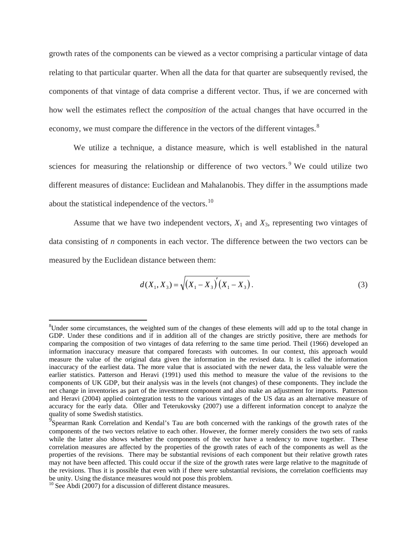growth rates of the components can be viewed as a vector comprising a particular vintage of data relating to that particular quarter. When all the data for that quarter are subsequently revised, the components of that vintage of data comprise a different vector. Thus, if we are concerned with how well the estimates reflect the *composition* of the actual changes that have occurred in the economy, we must compare the difference in the vectors of the different vintages.<sup>[8](#page-9-0)</sup>

We utilize a technique, a distance measure, which is well established in the natural sciences for measuring the relationship or difference of two vectors.<sup>[9](#page-9-1)</sup> We could utilize two different measures of distance: Euclidean and Mahalanobis. They differ in the assumptions made about the statistical independence of the vectors.<sup>[10](#page-9-2)</sup>

Assume that we have two independent vectors,  $X_1$  and  $X_3$ , representing two vintages of data consisting of *n* components in each vector. The difference between the two vectors can be measured by the Euclidean distance between them:

$$
d(X_1, X_3) = \sqrt{\left(X_1 - X_3\right)'\left(X_1 - X_3\right)}.
$$
\n(3)

<span id="page-9-0"></span> <sup>8</sup> <sup>8</sup>Under some circumstances, the weighted sum of the changes of these elements will add up to the total change in GDP. Under these conditions and if in addition all of the changes are strictly positive, there are methods for comparing the composition of two vintages of data referring to the same time period. Theil (1966) developed an information inaccuracy measure that compared forecasts with outcomes. In our context, this approach would measure the value of the original data given the information in the revised data. It is called the information inaccuracy of the earliest data. The more value that is associated with the newer data, the less valuable were the earlier statistics. Patterson and Heravi (1991) used this method to measure the value of the revisions to the components of UK GDP, but their analysis was in the levels (not changes) of these components. They include the net change in inventories as part of the investment component and also make an adjustment for imports. Patterson and Heravi (2004) applied cointegration tests to the various vintages of the US data as an alternative measure of accuracy for the early data. Öller and Teterukovsky (2007) use a different information concept to analyze the

<span id="page-9-1"></span>quality of some Swedish statistics.<br><sup>9</sup> Spearman Rank Correlation and Kendal's Tau are both concerned with the rankings of the growth rates of the components of the two vectors relative to each other. However, the former merely considers the two sets of ranks while the latter also shows whether the components of the vector have a tendency to move together. These correlation measures are affected by the properties of the growth rates of each of the components as well as the properties of the revisions. There may be substantial revisions of each component but their relative growth rates may not have been affected. This could occur if the size of the growth rates were large relative to the magnitude of the revisions. Thus it is possible that even with if there were substantial revisions, the correlation coefficients may be unity. Using the distance measures would not pose this problem.

<span id="page-9-2"></span> $10$  See Abdi (2007) for a discussion of different distance measures.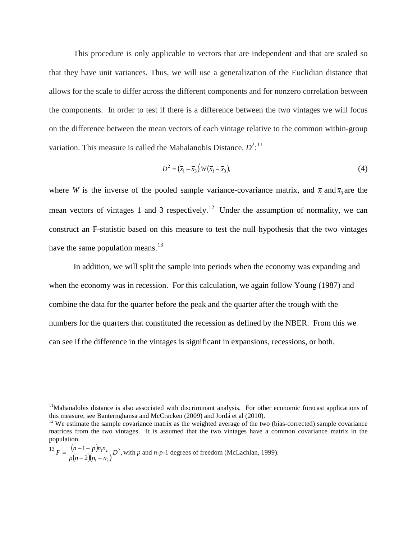This procedure is only applicable to vectors that are independent and that are scaled so that they have unit variances. Thus, we will use a generalization of the Euclidian distance that allows for the scale to differ across the different components and for nonzero correlation between the components. In order to test if there is a difference between the two vintages we will focus on the difference between the mean vectors of each vintage relative to the common within-group variation. This measure is called the Mahalanobis Distance,  $D^{2}$ <sup>[11](#page-10-0)</sup>

$$
D^2 = \left(\overline{x}_1 - \overline{x}_3\right)' W \left(\overline{x}_1 - \overline{x}_3\right),\tag{4}
$$

where *W* is the inverse of the pooled sample variance-covariance matrix, and  $\bar{x}_1$  and  $\bar{x}_3$  are the mean vectors of vintages 1 and 3 respectively.<sup>12</sup> Under the assumption of normality, we can construct an F-statistic based on this measure to test the null hypothesis that the two vintages have the same population means. $^{13}$  $^{13}$  $^{13}$ 

In addition, we will split the sample into periods when the economy was expanding and when the economy was in recession. For this calculation, we again follow Young (1987) and combine the data for the quarter before the peak and the quarter after the trough with the numbers for the quarters that constituted the recession as defined by the NBER. From this we can see if the difference in the vintages is significant in expansions, recessions, or both.

<span id="page-10-0"></span><sup>&</sup>lt;sup>11</sup>Mahanalobis distance is also associated with discriminant analysis. For other economic forecast applications of this measure, see Banternghansa and McCracken (2009) and Jordá et al (2010).

<span id="page-10-1"></span> $12$  We estimate the sample covariance matrix as the weighted average of the two (bias-corrected) sample covariance matrices from the two vintages. It is assumed that the two vintages have a common covariance matrix in the population.

<span id="page-10-2"></span> $1^3 F = \frac{(n-1-p)n_1n_2}{p(n-2)(n_1+n_2)}D^2,$  $1 + \mu_2$  $F = \frac{(n-1-p) n_1 n_2}{p(n-2)(n_1+n_2)} D^2$ , with *p* and *n*-*p*-1 degrees of freedom (McLachlan, 1999).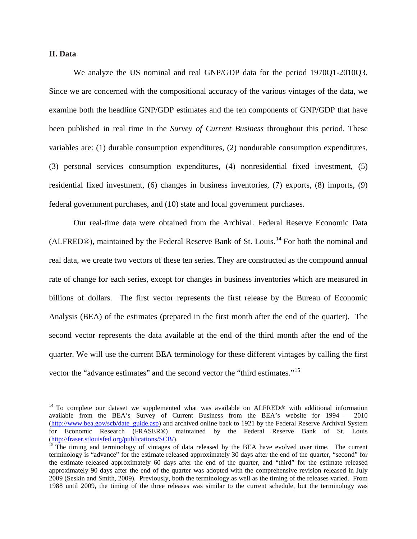#### **II. Data**

We analyze the US nominal and real GNP/GDP data for the period 1970Q1-2010Q3. Since we are concerned with the compositional accuracy of the various vintages of the data, we examine both the headline GNP/GDP estimates and the ten components of GNP/GDP that have been published in real time in the *Survey of Current Business* throughout this period. These variables are: (1) durable consumption expenditures, (2) nondurable consumption expenditures, (3) personal services consumption expenditures, (4) nonresidential fixed investment, (5) residential fixed investment, (6) changes in business inventories, (7) exports, (8) imports, (9) federal government purchases, and (10) state and local government purchases.

Our real-time data were obtained from the ArchivaL Federal Reserve Economic Data (ALFRED®), maintained by the Federal Reserve Bank of St. Louis.<sup>[14](#page-11-0)</sup> For both the nominal and real data, we create two vectors of these ten series. They are constructed as the compound annual rate of change for each series, except for changes in business inventories which are measured in billions of dollars. The first vector represents the first release by the Bureau of Economic Analysis (BEA) of the estimates (prepared in the first month after the end of the quarter). The second vector represents the data available at the end of the third month after the end of the quarter. We will use the current BEA terminology for these different vintages by calling the first vector the "advance estimates" and the second vector the "third estimates."<sup>15</sup>

<span id="page-11-0"></span><sup>&</sup>lt;sup>14</sup> To complete our dataset we supplemented what was available on ALFRED<sup>®</sup> with additional information available from the BEA's Survey of Current Business from the BEA's website for 1994 – 2010 [\(http://www.bea.gov/scb/date\\_guide.asp\)](http://www.bea.gov/scb/date_guide.asp) and archived online back to 1921 by the Federal Reserve Archival System for Economic Research (FRASER®) maintained by the Federal Reserve Bank of St. Louis (http://fraser.stlouisfed.org/publications/SCB/).

<span id="page-11-1"></span> $\frac{15}{15}$  $\frac{15}{15}$  $\frac{15}{15}$  The timing and terminology of vintages of data released by the BEA have evolved over time. The current terminology is "advance" for the estimate released approximately 30 days after the end of the quarter, "second" for the estimate released approximately 60 days after the end of the quarter, and "third" for the estimate released approximately 90 days after the end of the quarter was adopted with the comprehensive revision released in July 2009 (Seskin and Smith, 2009). Previously, both the terminology as well as the timing of the releases varied. From 1988 until 2009, the timing of the three releases was similar to the current schedule, but the terminology was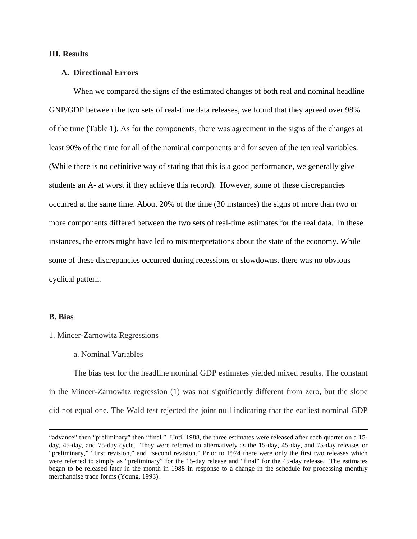#### **III. Results**

#### **A. Directional Errors**

When we compared the signs of the estimated changes of both real and nominal headline GNP/GDP between the two sets of real-time data releases, we found that they agreed over 98% of the time (Table 1). As for the components, there was agreement in the signs of the changes at least 90% of the time for all of the nominal components and for seven of the ten real variables. (While there is no definitive way of stating that this is a good performance, we generally give students an A- at worst if they achieve this record). However, some of these discrepancies occurred at the same time. About 20% of the time (30 instances) the signs of more than two or more components differed between the two sets of real-time estimates for the real data. In these instances, the errors might have led to misinterpretations about the state of the economy. While some of these discrepancies occurred during recessions or slowdowns, there was no obvious cyclical pattern.

#### **B. Bias**

 $\overline{a}$ 

- 1. Mincer-Zarnowitz Regressions
	- a. Nominal Variables

The bias test for the headline nominal GDP estimates yielded mixed results. The constant in the Mincer-Zarnowitz regression (1) was not significantly different from zero, but the slope did not equal one. The Wald test rejected the joint null indicating that the earliest nominal GDP

<sup>&</sup>quot;advance" then "preliminary" then "final." Until 1988, the three estimates were released after each quarter on a 15 day, 45-day, and 75-day cycle. They were referred to alternatively as the 15-day, 45-day, and 75-day releases or "preliminary," "first revision," and "second revision." Prior to 1974 there were only the first two releases which were referred to simply as "preliminary" for the 15-day release and "final" for the 45-day release. The estimates began to be released later in the month in 1988 in response to a change in the schedule for processing monthly merchandise trade forms (Young, 1993).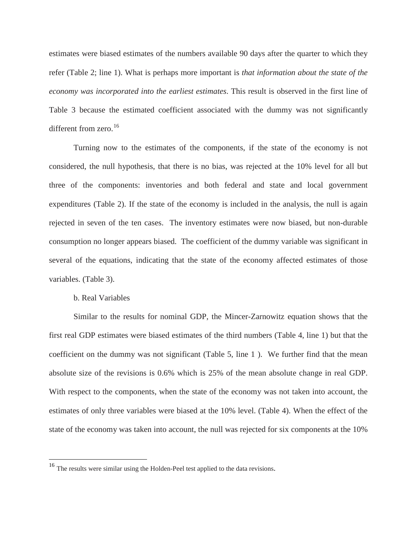estimates were biased estimates of the numbers available 90 days after the quarter to which they refer (Table 2; line 1). What is perhaps more important is *that information about the state of the economy was incorporated into the earliest estimates*. This result is observed in the first line of Table 3 because the estimated coefficient associated with the dummy was not significantly different from zero.<sup>16</sup>

Turning now to the estimates of the components, if the state of the economy is not considered, the null hypothesis, that there is no bias, was rejected at the 10% level for all but three of the components: inventories and both federal and state and local government expenditures (Table 2). If the state of the economy is included in the analysis, the null is again rejected in seven of the ten cases. The inventory estimates were now biased, but non-durable consumption no longer appears biased. The coefficient of the dummy variable was significant in several of the equations, indicating that the state of the economy affected estimates of those variables. (Table 3).

#### b. Real Variables

Similar to the results for nominal GDP, the Mincer-Zarnowitz equation shows that the first real GDP estimates were biased estimates of the third numbers (Table 4, line 1) but that the coefficient on the dummy was not significant (Table 5, line 1 ). We further find that the mean absolute size of the revisions is 0.6% which is 25% of the mean absolute change in real GDP. With respect to the components, when the state of the economy was not taken into account, the estimates of only three variables were biased at the 10% level. (Table 4). When the effect of the state of the economy was taken into account, the null was rejected for six components at the 10%

<span id="page-13-0"></span> <sup>16</sup> The results were similar using the Holden-Peel test applied to the data revisions.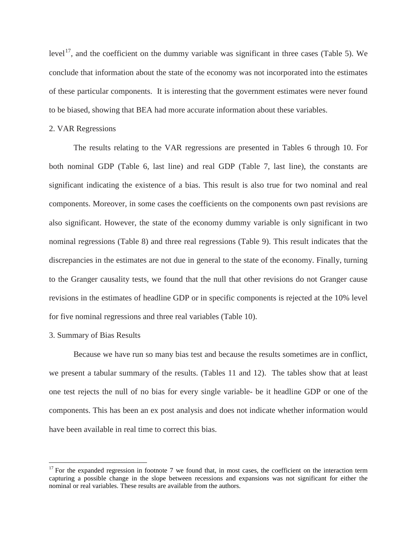level<sup>[17](#page-14-0)</sup>, and the coefficient on the dummy variable was significant in three cases (Table 5). We conclude that information about the state of the economy was not incorporated into the estimates of these particular components. It is interesting that the government estimates were never found to be biased, showing that BEA had more accurate information about these variables.

#### 2. VAR Regressions

The results relating to the VAR regressions are presented in Tables 6 through 10. For both nominal GDP (Table 6, last line) and real GDP (Table 7, last line), the constants are significant indicating the existence of a bias. This result is also true for two nominal and real components. Moreover, in some cases the coefficients on the components own past revisions are also significant. However, the state of the economy dummy variable is only significant in two nominal regressions (Table 8) and three real regressions (Table 9). This result indicates that the discrepancies in the estimates are not due in general to the state of the economy. Finally, turning to the Granger causality tests, we found that the null that other revisions do not Granger cause revisions in the estimates of headline GDP or in specific components is rejected at the 10% level for five nominal regressions and three real variables (Table 10).

#### 3. Summary of Bias Results

Because we have run so many bias test and because the results sometimes are in conflict, we present a tabular summary of the results. (Tables 11 and 12). The tables show that at least one test rejects the null of no bias for every single variable- be it headline GDP or one of the components. This has been an ex post analysis and does not indicate whether information would have been available in real time to correct this bias.

<span id="page-14-0"></span> $17$  For the expanded regression in footnote 7 we found that, in most cases, the coefficient on the interaction term capturing a possible change in the slope between recessions and expansions was not significant for either the nominal or real variables. These results are available from the authors.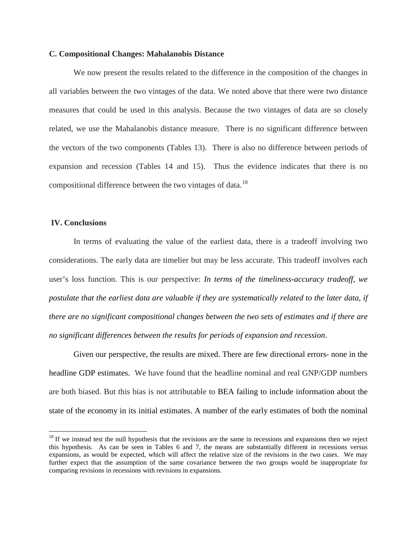#### **C. Compositional Changes: Mahalanobis Distance**

We now present the results related to the difference in the composition of the changes in all variables between the two vintages of the data. We noted above that there were two distance measures that could be used in this analysis. Because the two vintages of data are so closely related, we use the Mahalanobis distance measure. There is no significant difference between the vectors of the two components (Tables 13). There is also no difference between periods of expansion and recession (Tables 14 and 15). Thus the evidence indicates that there is no compositional difference between the two vintages of data.<sup>[18](#page-15-0)</sup>

#### **IV. Conclusions**

In terms of evaluating the value of the earliest data, there is a tradeoff involving two considerations. The early data are timelier but may be less accurate. This tradeoff involves each user's loss function. This is our perspective: *In terms of the timeliness-accuracy tradeoff, we postulate that the earliest data are valuable if they are systematically related to the later data, if there are no significant compositional changes between the two sets of estimates and if there are no significant differences between the results for periods of expansion and recession*.

Given our perspective, the results are mixed. There are few directional errors- none in the headline GDP estimates. We have found that the headline nominal and real GNP/GDP numbers are both biased. But this bias is not attributable to BEA failing to include information about the state of the economy in its initial estimates. A number of the early estimates of both the nominal

<span id="page-15-0"></span> $18$  If we instead test the null hypothesis that the revisions are the same in recessions and expansions then we reject this hypothesis. As can be seen in Tables 6 and 7, the means are substantially different in recessions versus expansions, as would be expected, which will affect the relative size of the revisions in the two cases. We may further expect that the assumption of the same covariance between the two groups would be inappropriate for comparing revisions in recessions with revisions in expansions.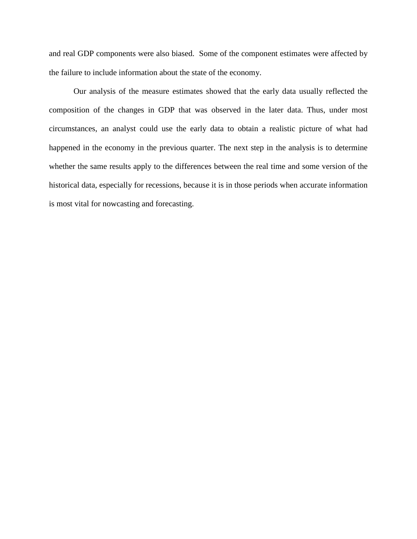and real GDP components were also biased. Some of the component estimates were affected by the failure to include information about the state of the economy.

Our analysis of the measure estimates showed that the early data usually reflected the composition of the changes in GDP that was observed in the later data. Thus, under most circumstances, an analyst could use the early data to obtain a realistic picture of what had happened in the economy in the previous quarter. The next step in the analysis is to determine whether the same results apply to the differences between the real time and some version of the historical data, especially for recessions, because it is in those periods when accurate information is most vital for nowcasting and forecasting.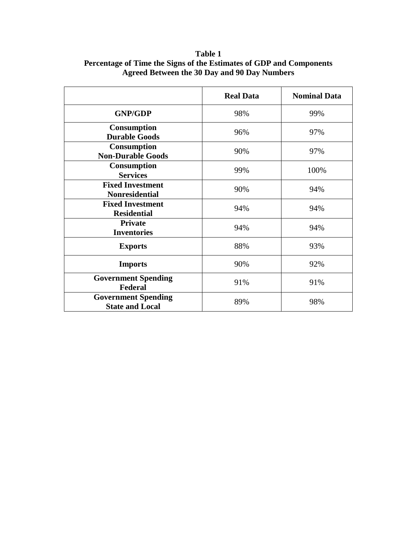|                                                      | <b>Real Data</b> | <b>Nominal Data</b> |
|------------------------------------------------------|------------------|---------------------|
| <b>GNP/GDP</b>                                       | 98%              | 99%                 |
| <b>Consumption</b><br><b>Durable Goods</b>           | 96%              | 97%                 |
| <b>Consumption</b><br><b>Non-Durable Goods</b>       | 90%              | 97%                 |
| <b>Consumption</b><br><b>Services</b>                | 99%              | 100%                |
| <b>Fixed Investment</b><br><b>Nonresidential</b>     | 90%              | 94%                 |
| <b>Fixed Investment</b><br><b>Residential</b>        | 94%              | 94%                 |
| <b>Private</b><br><b>Inventories</b>                 | 94%              | 94%                 |
| <b>Exports</b>                                       | 88%              | 93%                 |
| <b>Imports</b>                                       | 90%              | 92%                 |
| <b>Government Spending</b><br>Federal                | 91%              | 91%                 |
| <b>Government Spending</b><br><b>State and Local</b> | 89%              | 98%                 |

**Table 1 Percentage of Time the Signs of the Estimates of GDP and Components Agreed Between the 30 Day and 90 Day Numbers**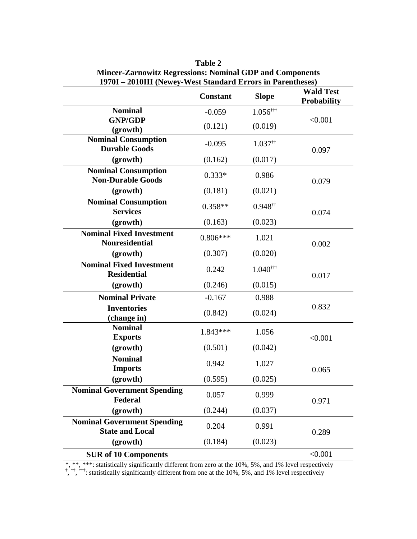|                                                              | <b>Constant</b> | <b>Slope</b>           | <b>Wald Test</b><br><b>Probability</b> |  |
|--------------------------------------------------------------|-----------------|------------------------|----------------------------------------|--|
| <b>Nominal</b>                                               | $-0.059$        | $1.056$ <sup>†††</sup> |                                        |  |
| <b>GNP/GDP</b><br>(growth)                                   | (0.121)         | (0.019)                | < 0.001                                |  |
| <b>Nominal Consumption</b><br><b>Durable Goods</b>           | $-0.095$        | $1.037$ <sup>††</sup>  | 0.097                                  |  |
| (growth)                                                     | (0.162)         | (0.017)                |                                        |  |
| <b>Nominal Consumption</b><br><b>Non-Durable Goods</b>       | $0.333*$        | 0.986                  | 0.079                                  |  |
| (growth)                                                     | (0.181)         | (0.021)                |                                        |  |
| <b>Nominal Consumption</b><br><b>Services</b>                | $0.358**$       | $0.948$ <sup>††</sup>  | 0.074                                  |  |
| (growth)                                                     | (0.163)         | (0.023)                |                                        |  |
| <b>Nominal Fixed Investment</b><br><b>Nonresidential</b>     | $0.806***$      | 1.021                  | 0.002                                  |  |
| (growth)                                                     | (0.307)         | (0.020)                |                                        |  |
| <b>Nominal Fixed Investment</b><br><b>Residential</b>        | 0.242           | $1.040$ <sup>†††</sup> | 0.017                                  |  |
| (growth)                                                     | (0.246)         | (0.015)                |                                        |  |
| <b>Nominal Private</b>                                       | $-0.167$        | 0.988                  |                                        |  |
| <b>Inventories</b><br>(change in)                            | (0.842)         | (0.024)                | 0.832                                  |  |
| <b>Nominal</b><br><b>Exports</b>                             | 1.843***        | 1.056                  | < 0.001                                |  |
| (growth)                                                     | (0.501)         | (0.042)                |                                        |  |
| <b>Nominal</b><br><b>Imports</b>                             | 0.942           | 1.027                  | 0.065                                  |  |
| (growth)                                                     | (0.595)         | (0.025)                |                                        |  |
| <b>Nominal Government Spending</b><br>Federal                | 0.057           | 0.999                  | 0.971                                  |  |
| (growth)                                                     | (0.244)         | (0.037)                |                                        |  |
| <b>Nominal Government Spending</b><br><b>State and Local</b> | 0.204           | 0.991                  | 0.289                                  |  |
| (growth)                                                     | (0.184)         | (0.023)                |                                        |  |
| <b>SUR of 10 Components</b>                                  |                 |                        | < 0.001                                |  |

**Table 2 Mincer-Zarnowitz Regressions: Nominal GDP and Components 1970I – 2010III (Newey-West Standard Errors in Parentheses)**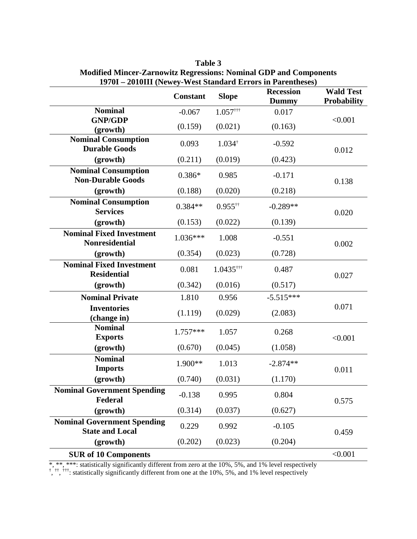| $17701 - 2010111$ (Newey-West Standard Errors in Farentheses) | <b>Wald Test</b> |                         |                                  |                    |  |
|---------------------------------------------------------------|------------------|-------------------------|----------------------------------|--------------------|--|
|                                                               | <b>Constant</b>  | <b>Slope</b>            | <b>Recession</b><br><b>Dummy</b> | <b>Probability</b> |  |
| <b>Nominal</b>                                                | $-0.067$         | $1.057$ <sup>†††</sup>  | 0.017                            |                    |  |
| <b>GNP/GDP</b>                                                | (0.159)          | (0.021)                 | (0.163)                          | < 0.001            |  |
| (growth)                                                      |                  |                         |                                  |                    |  |
| <b>Nominal Consumption</b><br><b>Durable Goods</b>            | 0.093            | $1.034^{\dagger}$       | $-0.592$                         | 0.012              |  |
| (growth)                                                      | (0.211)          | (0.019)                 | (0.423)                          |                    |  |
| <b>Nominal Consumption</b><br><b>Non-Durable Goods</b>        | $0.386*$         | 0.985                   | $-0.171$                         | 0.138              |  |
| (growth)                                                      | (0.188)          | (0.020)                 | (0.218)                          |                    |  |
| <b>Nominal Consumption</b><br><b>Services</b>                 | $0.384**$        | $0.955$ <sup>††</sup>   | $-0.289**$                       | 0.020              |  |
| (growth)                                                      | (0.153)          | (0.022)                 | (0.139)                          |                    |  |
| <b>Nominal Fixed Investment</b><br><b>Nonresidential</b>      | $1.036***$       | 1.008                   | $-0.551$                         | 0.002              |  |
| (growth)                                                      | (0.354)          | (0.023)                 | (0.728)                          |                    |  |
| <b>Nominal Fixed Investment</b><br><b>Residential</b>         | 0.081            | $1.0435$ <sup>†††</sup> | 0.487                            | 0.027              |  |
| (growth)                                                      | (0.342)          | (0.016)                 | (0.517)                          |                    |  |
| <b>Nominal Private</b>                                        | 1.810            | 0.956                   | $-5.515***$                      |                    |  |
| <b>Inventories</b><br>(change in)                             | (1.119)          | (0.029)                 | (2.083)                          | 0.071              |  |
| <b>Nominal</b><br><b>Exports</b>                              | $1.757***$       | 1.057                   | 0.268                            | < 0.001            |  |
| (growth)                                                      | (0.670)          | (0.045)                 | (1.058)                          |                    |  |
| <b>Nominal</b><br><b>Imports</b>                              | $1.900**$        | 1.013                   | $-2.874**$                       | 0.011              |  |
| (growth)                                                      | (0.740)          | (0.031)                 | (1.170)                          |                    |  |
| <b>Nominal Government Spending</b><br>Federal                 | $-0.138$         | 0.995                   | 0.804                            | 0.575              |  |
| (growth)                                                      | (0.314)          | (0.037)                 | (0.627)                          |                    |  |
| <b>Nominal Government Spending</b><br><b>State and Local</b>  | 0.229            | 0.992                   | $-0.105$                         | 0.459              |  |
| (growth)                                                      | (0.202)          | (0.023)                 | (0.204)                          |                    |  |
| <b>SUR of 10 Components</b>                                   |                  |                         |                                  | < 0.001            |  |

**Table 3 Modified Mincer-Zarnowitz Regressions: Nominal GDP and Components 1970I – 2010III (Newey-West Standard Errors in Parentheses)**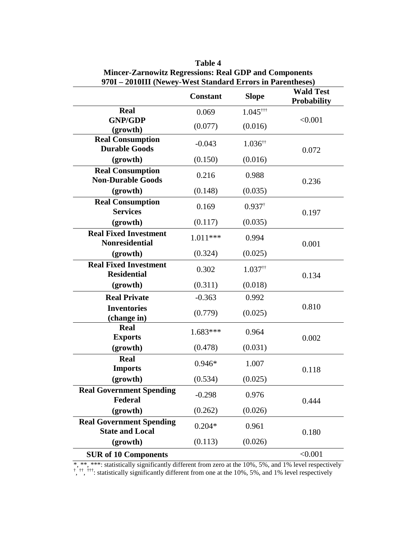| 970I - 2010III (Newey-West Standard Errors in Parentheses) |                 |                        |                                        |
|------------------------------------------------------------|-----------------|------------------------|----------------------------------------|
|                                                            | <b>Constant</b> | <b>Slope</b>           | <b>Wald Test</b><br><b>Probability</b> |
| <b>Real</b>                                                | 0.069           | $1.045$ <sup>†††</sup> |                                        |
| <b>GNP/GDP</b><br>(growth)                                 | (0.077)         | (0.016)                | < 0.001                                |
| <b>Real Consumption</b><br><b>Durable Goods</b>            | $-0.043$        | $1.036$ <sup>††</sup>  | 0.072                                  |
| (growth)                                                   | (0.150)         | (0.016)                |                                        |
| <b>Real Consumption</b><br><b>Non-Durable Goods</b>        | 0.216           | 0.988                  | 0.236                                  |
| (growth)                                                   | (0.148)         | (0.035)                |                                        |
| <b>Real Consumption</b><br><b>Services</b>                 | 0.169           | $0.937$ <sup>†</sup>   | 0.197                                  |
| (growth)                                                   | (0.117)         | (0.035)                |                                        |
| <b>Real Fixed Investment</b><br><b>Nonresidential</b>      | $1.011***$      | 0.994                  | 0.001                                  |
| (growth)                                                   | (0.324)         | (0.025)                |                                        |
| <b>Real Fixed Investment</b><br><b>Residential</b>         | 0.302           | $1.037$ <sup>††</sup>  | 0.134                                  |
| (growth)                                                   | (0.311)         | (0.018)                |                                        |
| <b>Real Private</b>                                        | $-0.363$        | 0.992                  |                                        |
| <b>Inventories</b><br>(change in)                          | (0.779)         | (0.025)                | 0.810                                  |
| <b>Real</b><br><b>Exports</b>                              | $1.683***$      | 0.964                  | 0.002                                  |
| (growth)                                                   | (0.478)         | (0.031)                |                                        |
| <b>Real</b><br><b>Imports</b>                              | $0.946*$        | 1.007                  | 0.118                                  |
| (growth)                                                   | (0.534)         | (0.025)                |                                        |
| <b>Real Government Spending</b><br><b>Federal</b>          | $-0.298$        | 0.976                  | 0.444                                  |
| (growth)                                                   | (0.262)         | (0.026)                |                                        |
| <b>Real Government Spending</b><br><b>State and Local</b>  | $0.204*$        | 0.961                  | 0.180                                  |
| (growth)                                                   | (0.113)         | (0.026)                |                                        |
| <b>SUR of 10 Components</b>                                |                 |                        | < 0.001                                |

**Table 4 Mincer-Zarnowitz Regressions: Real GDP and Components**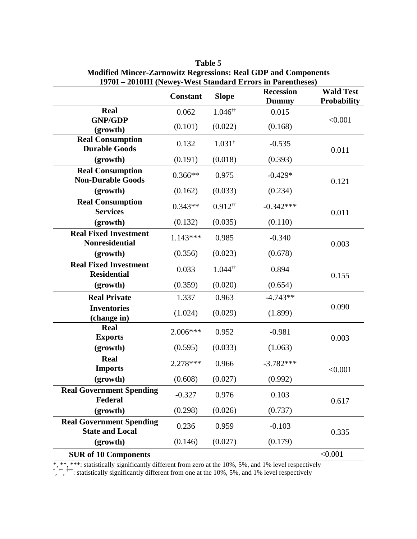|                                                           | <b>Constant</b> | <b>Slope</b>          | 19701 – 2010111 (inewey-west standard Effors in Farentheses)<br><b>Recession</b><br><b>Dummy</b> | <b>Wald Test</b><br><b>Probability</b> |  |
|-----------------------------------------------------------|-----------------|-----------------------|--------------------------------------------------------------------------------------------------|----------------------------------------|--|
| <b>Real</b>                                               | 0.062           | $1.046$ <sup>††</sup> | 0.015                                                                                            |                                        |  |
| <b>GNP/GDP</b><br>(growth)                                | (0.101)         | (0.022)               | (0.168)                                                                                          | < 0.001                                |  |
| <b>Real Consumption</b><br><b>Durable Goods</b>           | 0.132           | $1.031^{\dagger}$     | $-0.535$                                                                                         | 0.011                                  |  |
| (growth)                                                  | (0.191)         | (0.018)               | (0.393)                                                                                          |                                        |  |
| <b>Real Consumption</b><br><b>Non-Durable Goods</b>       | $0.366**$       | 0.975                 | $-0.429*$                                                                                        | 0.121                                  |  |
| (growth)                                                  | (0.162)         | (0.033)               | (0.234)                                                                                          |                                        |  |
| <b>Real Consumption</b><br><b>Services</b>                | $0.343**$       | $0.912$ <sup>††</sup> | $-0.342***$                                                                                      | 0.011                                  |  |
| (growth)                                                  | (0.132)         | (0.035)               | (0.110)                                                                                          |                                        |  |
| <b>Real Fixed Investment</b><br><b>Nonresidential</b>     | $1.143***$      | 0.985                 | $-0.340$                                                                                         | 0.003                                  |  |
| (growth)                                                  | (0.356)         | (0.023)               | (0.678)                                                                                          |                                        |  |
| <b>Real Fixed Investment</b><br><b>Residential</b>        | 0.033           | $1.044$ <sup>††</sup> | 0.894                                                                                            | 0.155                                  |  |
| (growth)                                                  | (0.359)         | (0.020)               | (0.654)                                                                                          |                                        |  |
| <b>Real Private</b>                                       | 1.337           | 0.963                 | $-4.743**$                                                                                       |                                        |  |
| <b>Inventories</b><br>(change in)                         | (1.024)         | (0.029)               | (1.899)                                                                                          | 0.090                                  |  |
| <b>Real</b><br><b>Exports</b>                             | $2.006***$      | 0.952                 | $-0.981$                                                                                         | 0.003                                  |  |
| (growth)                                                  | (0.595)         | (0.033)               | (1.063)                                                                                          |                                        |  |
| Real<br><b>Imports</b>                                    | 2.278 ***       | 0.966                 | $-3.782***$                                                                                      | < 0.001                                |  |
| (growth)                                                  | (0.608)         | (0.027)               | (0.992)                                                                                          |                                        |  |
| <b>Real Government Spending</b><br>Federal                | $-0.327$        | 0.976                 | 0.103                                                                                            | 0.617                                  |  |
| (growth)                                                  | (0.298)         | (0.026)               | (0.737)                                                                                          |                                        |  |
| <b>Real Government Spending</b><br><b>State and Local</b> | 0.236           | 0.959                 | $-0.103$                                                                                         | 0.335                                  |  |
| (growth)                                                  | (0.146)         | (0.027)               | (0.179)                                                                                          |                                        |  |
| <b>SUR of 10 Components</b>                               |                 |                       |                                                                                                  | < 0.001                                |  |

**Table 5 Modified Mincer-Zarnowitz Regressions: Real GDP and Components 1970I – 2010III (Newey-West Standard Errors in Parentheses)**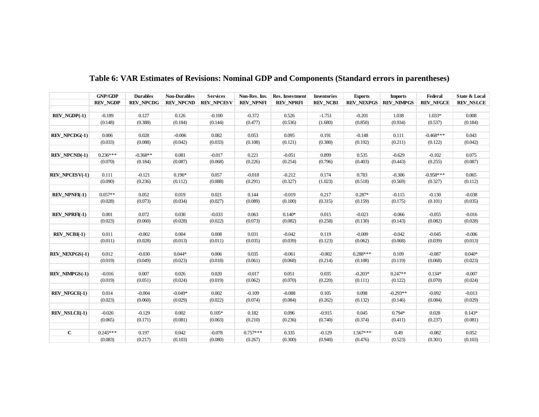|                        | <b>GNP/GDP</b>  | <b>Durables</b>  | <b>Non-Durables</b> | <b>Services</b>   | Non-Res. Inv.    | Res. Investment  | <b>Inventories</b> | <b>Exports</b>    | <b>Imports</b>    | Federal          | State & Local    |
|------------------------|-----------------|------------------|---------------------|-------------------|------------------|------------------|--------------------|-------------------|-------------------|------------------|------------------|
|                        | <b>REV_NGDP</b> | <b>REV_NPCDG</b> | <b>REV_NPCND</b>    | <b>REV_NPCESV</b> | <b>REV_NPNFI</b> | <b>REV_NPRFI</b> | <b>REV_NCBI</b>    | <b>REV_NEXPGS</b> | <b>REV_NIMPGS</b> | <b>REV_NFGCE</b> | <b>REV_NSLCE</b> |
|                        |                 |                  |                     |                   |                  |                  |                    |                   |                   |                  |                  |
| REV NGDP(-1)           | $-0.189$        | 0.127            | 0.126               | $-0.100$          | $-0.372$         | 0.526            | $-1.751$           | $-0.201$          | 1.038             | $1.033*$         | 0.008            |
|                        | (0.148)         | (0.388)          | (0.184)             | (0.144)           | (0.477)          | (0.536)          | (1.680)            | (0.850)           | (0.934)           | (0.537)          | (0.184)          |
|                        |                 |                  |                     |                   |                  |                  |                    |                   |                   |                  |                  |
| <b>REV NPCDG(-1)</b>   | 0.006           | 0.028            | $-0.006$            | 0.082             | 0.053            | 0.095            | 0.191              | $-0.148$          | 0.111             | $-0.468***$      | 0.043            |
|                        | (0.033)         | (0.088)          | (0.042)             | (0.033)           | (0.108)          | (0.121)          | (0.380)            | (0.192)           | (0.211)           | (0.122)          | (0.042)          |
|                        |                 |                  |                     |                   |                  |                  |                    |                   |                   |                  |                  |
| <b>REV NPCND(-1)</b>   | $0.236***$      | $-0.368**$       | 0.081               | $-0.017$          | 0.221            | $-0.051$         | 0.899              | 0.535             | $-0.629$          | $-0.102$         | 0.075            |
|                        | (0.070)         | (0.184)          | (0.087)             | (0.068)           | (0.226)          | (0.254)          | (0.796)            | (0.403)           | (0.443)           | (0.255)          | (0.087)          |
|                        |                 |                  |                     |                   |                  |                  |                    |                   |                   |                  |                  |
| <b>REV_NPCES V(-1)</b> | 0.111           | $-0.121$         | $0.196*$            | 0.057             | $-0.018$         | $-0.212$         | 0.174              | 0.783             | $-0.306$          | $-0.958***$      | 0.065            |
|                        | (0.090)         | (0.236)          | (0.112)             | (0.088)           | (0.291)          | (0.327)          | (1.023)            | (0.518)           | (0.569)           | (0.327)          | (0.112)          |
|                        |                 |                  |                     |                   |                  |                  |                    |                   |                   |                  |                  |
| <b>REV_NPNFI(-1)</b>   | $0.057**$       | 0.052            | 0.019               | 0.021             | 0.144            | $-0.019$         | 0.217              | $0.287*$          | $-0.115$          | $-0.130$         | $-0.038$         |
|                        | (0.028)         | (0.073)          | (0.034)             | (0.027)           | (0.089)          | (0.100)          | (0.315)            | (0.159)           | (0.175)           | (0.101)          | (0.035)          |
|                        |                 |                  |                     |                   |                  |                  |                    |                   |                   |                  |                  |
| <b>REV NPRFI(-1)</b>   | 0.001           | 0.072            | 0.030               | $-0.033$          | 0.063            | $0.140*$         | 0.015              | $-0.023$          | $-0.066$          | $-0.055$         | $-0.016$         |
|                        | (0.023)         | (0.060)          | (0.028)             | (0.022)           | (0.073)          | (0.082)          | (0.258)            | (0.130)           | (0.143)           | (0.082)          | (0.028)          |
|                        |                 |                  |                     |                   |                  |                  |                    |                   |                   |                  |                  |
| $REV NCBI(-1)$         | 0.011           | $-0.002$         | 0.004               | 0.008             | 0.031            | $-0.042$         | 0.119              | $-0.009$          | $-0.042$          | $-0.045$         | $-0.006$         |
|                        | (0.011)         | (0.028)          | (0.013)             | (0.011)           | (0.035)          | (0.039)          | (0.123)            | (0.062)           | (0.068)           | (0.039)          | (0.013)          |
|                        |                 |                  |                     |                   |                  |                  |                    |                   |                   |                  |                  |
| <b>REV NEXPGS(-1)</b>  | 0.012           | $-0.030$         | $0.044*$            | 0.006             | 0.035            | $-0.061$         | $-0.002$           | $0.288***$        | 0.109             | $-0.087$         | $0.040*$         |
|                        | (0.019)         | (0.049)          | (0.023)             | (0.018)           | (0.061)          | (0.068)          | (0.214)            | (0.108)           | (0.119)           | (0.068)          | (0.023)          |
|                        |                 |                  |                     |                   |                  |                  |                    |                   |                   |                  |                  |
| <b>REV_NIMPGS(-1)</b>  | $-0.016$        | 0.007            | 0.026               | 0.020             | $-0.017$         | 0.051            | 0.035              | $-0.203*$         | $0.247**$         | $0.134*$         | $-0.007$         |
|                        | (0.019)         | (0.051)          | (0.024)             | (0.019)           | (0.062)          | (0.070)          | (0.220)            | (0.111)           | (0.122)           | (0.070)          | (0.024)          |
|                        |                 |                  |                     |                   |                  |                  |                    |                   |                   |                  |                  |
| REV_NFGCE(-1)          | 0.014           | $-0.004$         | $-0.049*$           | 0.002             | $-0.109$         | $-0.088$         | 0.105              | 0.098             | $-0.293**$        | $-0.092$         | $-0.013$         |
|                        | (0.023)         | (0.060)          | (0.029)             | (0.022)           | (0.074)          | (0.084)          | (0.262)            | (0.132)           | (0.146)           | (0.084)          | (0.029)          |
|                        |                 |                  |                     |                   |                  |                  |                    |                   |                   |                  |                  |
| REV NSLCE(-1)          | $-0.026$        | $-0.129$         | 0.002               | $0.105*$          | 0.182            | 0.096            | $-0.915$           | 0.045             | $0.794*$          | 0.028            | $0.143*$         |
|                        | (0.065)         | (0.171)          | (0.081)             | (0.063)           | (0.210)          | (0.236)          | (0.740)            | (0.374)           | (0.411)           | (0.237)          | (0.081)          |
|                        |                 |                  |                     |                   |                  |                  |                    |                   |                   |                  |                  |
| $\mathbf C$            | $0.245***$      | 0.197            | 0.042               | $-0.078$          | $0.757***$       | 0.335            | $-0.129$           | $1.567***$        | 0.49              | $-0.082$         | 0.052            |
|                        | (0.083)         | (0.217)          | (0.103)             | (0.080)           | (0.267)          | (0.300)          | (0.940)            | (0.476)           | (0.523)           | (0.301)          | (0.103)          |

**Table 6: VAR Estimates of Revisions: Nominal GDP and Components (Standard errors in parentheses)**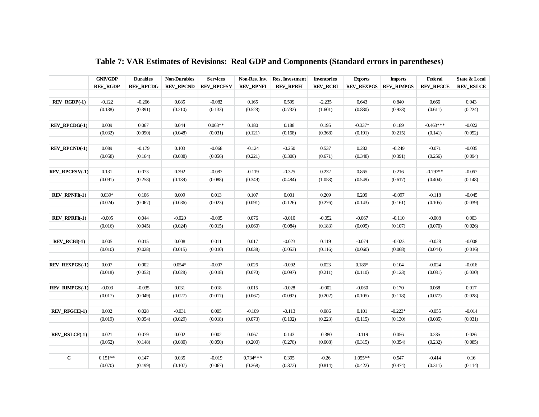|                       | <b>GNP/GDP</b>  | <b>Durables</b>  | <b>Non-Durables</b> | <b>Services</b>   | Non-Res. Inv.    | Res. Investment  | <b>Inventories</b> | <b>Exports</b>    | <b>Imports</b>    | Federal          | State & Local    |
|-----------------------|-----------------|------------------|---------------------|-------------------|------------------|------------------|--------------------|-------------------|-------------------|------------------|------------------|
|                       | <b>REV_RGDP</b> | <b>REV RPCDG</b> | <b>REV RPCND</b>    | <b>REV RPCESV</b> | <b>REV RPNFI</b> | <b>REV RPRFI</b> | <b>REV_RCBI</b>    | <b>REV REXPGS</b> | <b>REV RIMPGS</b> | <b>REV RFGCE</b> | <b>REV_RSLCE</b> |
|                       |                 |                  |                     |                   |                  |                  |                    |                   |                   |                  |                  |
| $REV_RGDP(-1)$        | $-0.122$        | $-0.266$         | 0.085               | $-0.082$          | 0.165            | 0.599            | $-2.235$           | 0.643             | 0.840             | 0.666            | 0.043            |
|                       | (0.138)         | (0.391)          | (0.210)             | (0.133)           | (0.528)          | (0.732)          | (1.601)            | (0.830)           | (0.933)           | (0.611)          | (0.224)          |
|                       |                 |                  |                     |                   |                  |                  |                    |                   |                   |                  |                  |
| REV_RPCDG(-1)         | 0.009           | 0.067            | 0.044               | $0.063**$         | 0.180            | 0.188            | 0.195              | $-0.337*$         | 0.189             | $-0.463***$      | $-0.022$         |
|                       | (0.032)         | (0.090)          | (0.048)             | (0.031)           | (0.121)          | (0.168)          | (0.368)            | (0.191)           | (0.215)           | (0.141)          | (0.052)          |
|                       |                 |                  |                     |                   |                  |                  |                    |                   |                   |                  |                  |
| REV_RPCND(-1)         | 0.089           | $-0.179$         | 0.103               | $-0.068$          | $-0.124$         | $-0.250$         | 0.537              | 0.282             | $-0.249$          | $-0.071$         | $-0.035$         |
|                       | (0.058)         | (0.164)          | (0.088)             | (0.056)           | (0.221)          | (0.306)          | (0.671)            | (0.348)           | (0.391)           | (0.256)          | (0.094)          |
|                       |                 |                  |                     |                   |                  |                  |                    |                   |                   |                  |                  |
| <b>REV_RPCESV(-1)</b> | 0.131           | 0.073            | 0.392               | $-0.087$          | $-0.119$         | $-0.325$         | 0.232              | 0.865             | 0.216             | $-0.797**$       | $-0.067$         |
|                       | (0.091)         | (0.258)          | (0.139)             | (0.088)           | (0.349)          | (0.484)          | (1.058)            | (0.549)           | (0.617)           | (0.404)          | (0.148)          |
|                       |                 |                  |                     |                   |                  |                  |                    |                   |                   |                  |                  |
| <b>REV_RPNFI(-1)</b>  | $0.039*$        | 0.106            | 0.009               | 0.013             | 0.107            | 0.001            | 0.209              | 0.209             | $-0.097$          | $-0.118$         | $-0.045$         |
|                       | (0.024)         | (0.067)          | (0.036)             | (0.023)           | (0.091)          | (0.126)          | (0.276)            | (0.143)           | (0.161)           | (0.105)          | (0.039)          |
|                       |                 |                  |                     |                   |                  |                  |                    |                   |                   |                  |                  |
| REV_RPRFI(-1)         | $-0.005$        | 0.044            | $-0.020$            | $-0.005$          | 0.076            | $-0.010$         | $-0.052$           | $-0.067$          | $-0.110$          | $-0.008$         | 0.003            |
|                       | (0.016)         | (0.045)          | (0.024)             | (0.015)           | (0.060)          | (0.084)          | (0.183)            | (0.095)           | (0.107)           | (0.070)          | (0.026)          |
|                       |                 |                  |                     |                   |                  |                  |                    |                   |                   |                  |                  |
| $REV_RCBI(-1)$        | 0.005           | 0.015            | 0.008               | 0.011             | 0.017            | $-0.023$         | 0.119              | $-0.074$          | $-0.023$          | $-0.028$         | $-0.008$         |
|                       | (0.010)         | (0.028)          | (0.015)             | (0.010)           | (0.038)          | (0.053)          | (0.116)            | (0.060)           | (0.068)           | (0.044)          | (0.016)          |
|                       |                 |                  |                     |                   |                  |                  |                    |                   |                   |                  |                  |
| <b>REV REXPGS(-1)</b> | 0.007           | 0.002            | $0.054*$            | $-0.007$          | 0.026            | $-0.092$         | 0.023              | $0.185*$          | 0.104             | $-0.024$         | $-0.016$         |
|                       | (0.018)         | (0.052)          | (0.028)             | (0.018)           | (0.070)          | (0.097)          | (0.211)            | (0.110)           | (0.123)           | (0.081)          | (0.030)          |
|                       |                 |                  |                     |                   |                  |                  |                    |                   |                   |                  |                  |
| <b>REV_RIMPGS(-1)</b> | $-0.003$        | $-0.035$         | 0.031               | 0.018             | 0.015            | $-0.028$         | $-0.002$           | $-0.060$          | 0.170             | 0.068            | 0.017            |
|                       | (0.017)         | (0.049)          | (0.027)             | (0.017)           | (0.067)          | (0.092)          | (0.202)            | (0.105)           | (0.118)           | (0.077)          | (0.028)          |
|                       |                 |                  |                     |                   |                  |                  |                    |                   |                   |                  |                  |
| <b>REV_RFGCE(-1)</b>  | 0.002           | 0.028            | $-0.031$            | 0.005             | $-0.109$         | $-0.113$         | 0.086              | 0.101             | $-0.223*$         | $-0.055$         | $-0.014$         |
|                       | (0.019)         | (0.054)          | (0.029)             | (0.018)           | (0.073)          | (0.102)          | (0.223)            | (0.115)           | (0.130)           | (0.085)          | (0.031)          |
|                       |                 |                  |                     |                   |                  |                  |                    |                   |                   |                  |                  |
| <b>REV RSLCE(-1)</b>  | 0.021           | 0.079            | 0.002               | 0.002             | 0.067            | 0.143            | $-0.380$           | $-0.119$          | 0.056             | 0.235            | 0.026            |
|                       | (0.052)         | (0.148)          | (0.080)             | (0.050)           | (0.200)          | (0.278)          | (0.608)            | (0.315)           | (0.354)           | (0.232)          | (0.085)          |
|                       |                 |                  |                     |                   |                  |                  |                    |                   |                   |                  |                  |
| $\mathbf C$           | $0.151**$       | 0.147            | 0.035               | $-0.019$          | $0.734***$       | 0.395            | $-0.26$            | $1.055**$         | 0.547             | $-0.414$         | 0.16             |
|                       | (0.070)         | (0.199)          | (0.107)             | (0.067)           | (0.268)          | (0.372)          | (0.814)            | (0.422)           | (0.474)           | (0.311)          | (0.114)          |

## **Table 7: VAR Estimates of Revisions: Real GDP and Components (Standard errors in parentheses)**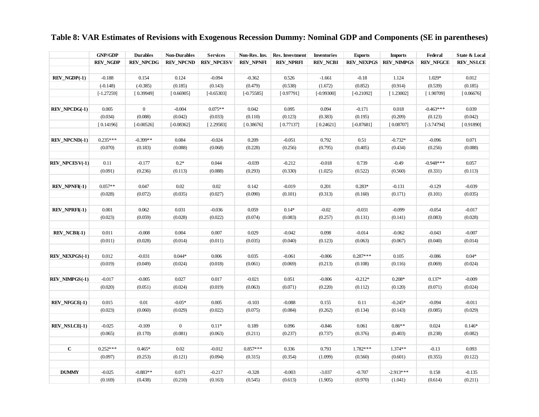# **Table 8: VAR Estimates of Revisions with Exogenous Recession Dummy: Nominal GDP and Components (SE in parentheses)**

|                              | <b>GNP/GDP</b>  | <b>Durables</b>  | <b>Non-Durables</b> | <b>Services</b>   | Non-Res. Inv.    | Res. Investment  | <b>Inventories</b> | <b>Exports</b>    | <b>Imports</b>    | Federal          | State & Local    |
|------------------------------|-----------------|------------------|---------------------|-------------------|------------------|------------------|--------------------|-------------------|-------------------|------------------|------------------|
|                              | <b>REV_NGDP</b> | <b>REV NPCDG</b> | <b>REV_NPCND</b>    | <b>REV_NPCESV</b> | <b>REV_NPNFI</b> | <b>REV_NPRFI</b> | <b>REV_NCBI</b>    | <b>REV NEXPGS</b> | <b>REV_NIMPGS</b> | <b>REV NFGCE</b> | <b>REV_NSLCE</b> |
|                              |                 |                  |                     |                   |                  |                  |                    |                   |                   |                  |                  |
| $REV$ <sub>NGDP</sub> $(-1)$ | $-0.188$        | 0.154            | 0.124               | $-0.094$          | $-0.362$         | 0.526            | $-1.661$           | $-0.18$           | 1.124             | 1.029*           | 0.012            |
|                              | $(-0.148)$      | $(-0.385)$       | (0.185)             | (0.143)           | (0.479)          | (0.538)          | (1.672)            | (0.852)           | (0.914)           | (0.539)          | (0.185)          |
|                              | $[-1.27259]$    | [0.39949]        | [0.66905]           | $[-0.65303]$      | $[-0.75585]$     | [0.97791]        | $[-0.99300]$       | $[-0.21092]$      | [1.23002]         | [1.90709]        | [0.06676]        |
|                              |                 |                  |                     |                   |                  |                  |                    |                   |                   |                  |                  |
| <b>REV_NPCDG(-1)</b>         | 0.005           | $\boldsymbol{0}$ | $-0.004$            | $0.075**$         | 0.042            | 0.095            | 0.094              | $-0.171$          | 0.018             | $-0.463***$      | 0.039            |
|                              | (0.034)         | (0.088)          | (0.042)             | (0.033)           | (0.110)          | (0.123)          | (0.383)            | (0.195)           | (0.209)           | (0.123)          | (0.042)          |
|                              | [0.14196]       | $[-0.00526]$     | $[-0.08362]$        | [2.29583]         | [0.38676]        | [0.77137]        | [0.24621]          | $[-0.87681]$      | [0.08707]         | $[-3.74794]$     | [0.91890]        |
|                              |                 |                  |                     |                   |                  |                  |                    |                   |                   |                  |                  |
| <b>REV_NPCND(-1)</b>         | $0.235***$      | $-0.399**$       | 0.084               | $-0.024$          | 0.209            | $-0.051$         | 0.792              | 0.51              | $-0.732*$         | $-0.096$         | 0.071            |
|                              | (0.070)         | (0.183)          | (0.088)             | (0.068)           | (0.228)          | (0.256)          | (0.795)            | (0.405)           | (0.434)           | (0.256)          | (0.088)          |
|                              |                 |                  |                     |                   |                  |                  |                    |                   |                   |                  |                  |
| <b>REV_NPCESV(-1)</b>        | 0.11            | $-0.177$         | $0.2*$              | 0.044             | $-0.039$         | $-0.212$         | $-0.018$           | 0.739             | $-0.49$           | $-0.948***$      | 0.057            |
|                              | (0.091)         | (0.236)          | (0.113)             | (0.088)           | (0.293)          | (0.330)          | (1.025)            | (0.522)           | (0.560)           | (0.331)          | (0.113)          |
|                              |                 |                  |                     |                   |                  |                  |                    |                   |                   |                  |                  |
| <b>REV_NPNFI(-1)</b>         | $0.057**$       | 0.047            | 0.02                | 0.02              | 0.142            | $-0.019$         | 0.201              | $0.283*$          | $-0.131$          | $-0.129$         | $-0.039$         |
|                              | (0.028)         | (0.072)          | (0.035)             | (0.027)           | (0.090)          | (0.101)          | (0.313)            | (0.160)           | (0.171)           | (0.101)          | (0.035)          |
|                              |                 |                  |                     |                   |                  |                  |                    |                   |                   |                  |                  |
| <b>REV_NPRFI(-1)</b>         | 0.001           | 0.062            | 0.031               | $-0.036$          | 0.059            | $0.14*$          | $-0.02$            | $-0.031$          | $-0.099$          | $-0.054$         | $-0.017$         |
|                              | (0.023)         | (0.059)          | (0.028)             | (0.022)           | (0.074)          | (0.083)          | (0.257)            | (0.131)           | (0.141)           | (0.083)          | (0.028)          |
|                              |                 |                  |                     |                   |                  |                  |                    |                   |                   |                  |                  |
| $REV_NCBI(-1)$               | 0.011           | $-0.008$         | 0.004               | 0.007             | 0.029            | $-0.042$         | 0.098              | $-0.014$          | $-0.062$          | $-0.043$         | $-0.007$         |
|                              | (0.011)         | (0.028)          | (0.014)             | (0.011)           | (0.035)          | (0.040)          | (0.123)            | (0.063)           | (0.067)           | (0.040)          | (0.014)          |
|                              |                 |                  |                     |                   |                  |                  |                    |                   |                   |                  |                  |
| <b>REV_NEXPGS(-1)</b>        | 0.012           | $-0.031$         | $0.044*$            | 0.006             | 0.035            | $-0.061$         | $-0.006$           | $0.287***$        | 0.105             | $-0.086$         | $0.04*$          |
|                              | (0.019)         | (0.049)          | (0.024)             | (0.018)           | (0.061)          | (0.069)          | (0.213)            | (0.108)           | (0.116)           | (0.069)          | (0.024)          |
|                              |                 |                  |                     |                   |                  |                  |                    |                   |                   |                  |                  |
| <b>REV_NIMPGS(-1)</b>        | $-0.017$        | $-0.005$         | 0.027               | 0.017             | $-0.021$         | 0.051            | $-0.006$           | $-0.212*$         | $0.208*$          | $0.137*$         | $-0.009$         |
|                              | (0.020)         | (0.051)          | (0.024)             | (0.019)           | (0.063)          | (0.071)          | (0.220)            | (0.112)           | (0.120)           | (0.071)          | (0.024)          |
|                              |                 |                  |                     |                   |                  |                  |                    |                   |                   |                  |                  |
| REV_NFGCE(-1)                | 0.015           | 0.01             | $-0.05*$            | 0.005             | $-0.103$         | $-0.088$         | 0.155              | 0.11              | $-0.245*$         | $-0.094$         | $-0.011$         |
|                              | (0.023)         | (0.060)          | (0.029)             | (0.022)           | (0.075)          | (0.084)          | (0.262)            | (0.134)           | (0.143)           | (0.085)          | (0.029)          |
|                              | $-0.025$        |                  | $\mathbf{0}$        |                   |                  |                  |                    |                   |                   |                  |                  |
| <b>REV_NSLCE(-1)</b>         |                 | $-0.109$         |                     | $0.11*$           | 0.189            | 0.096            | $-0.846$           | 0.061             | $0.86**$          | 0.024            | $0.146*$         |
|                              | (0.065)         | (0.170)          | (0.081)             | (0.063)           | (0.211)          | (0.237)          | (0.737)            | (0.376)           | (0.403)           | (0.238)          | (0.082)          |
| $\bf C$                      | $0.252***$      | $0.465*$         | 0.02                | $-0.012$          | $0.857***$       | 0.336            | 0.793              | 1.782***          | $1.374**$         | $-0.13$          | 0.093            |
|                              | (0.097)         | (0.253)          | (0.121)             | (0.094)           | (0.315)          | (0.354)          | (1.099)            | (0.560)           | (0.601)           | (0.355)          | (0.122)          |
|                              |                 |                  |                     |                   |                  |                  |                    |                   |                   |                  |                  |
| <b>DUMMY</b>                 | $-0.025$        | $-0.883**$       | 0.071               | $-0.217$          | $-0.328$         | $-0.003$         | $-3.037$           | $-0.707$          | $-2.913***$       | 0.158            | $-0.135$         |
|                              | (0.169)         | (0.438)          | (0.210)             | (0.163)           | (0.545)          | (0.613)          | (1.905)            | (0.970)           | (1.041)           | (0.614)          | (0.211)          |
|                              |                 |                  |                     |                   |                  |                  |                    |                   |                   |                  |                  |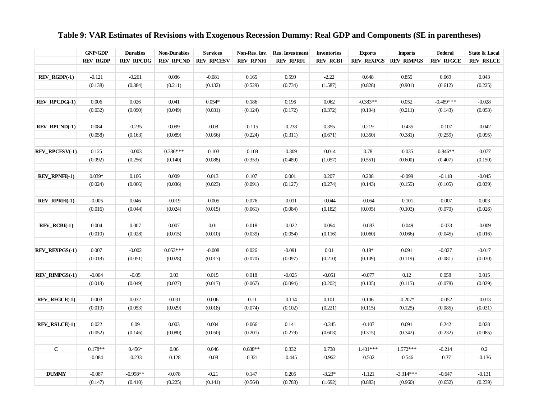|                       | <b>GNP/GDP</b>  | <b>Durables</b>  | <b>Non-Durables</b> | <b>Services</b>   | Non-Res. Inv.    | Res. Investment | <b>Inventories</b> | <b>Exports</b>    | <b>Imports</b>    | Federal          | State & Local    |
|-----------------------|-----------------|------------------|---------------------|-------------------|------------------|-----------------|--------------------|-------------------|-------------------|------------------|------------------|
|                       | <b>REV_RGDP</b> | <b>REV_RPCDG</b> | <b>REV_RPCND</b>    | <b>REV_RPCESV</b> | <b>REV_RPNFI</b> | REV_RPRFI       | <b>REV_RCBI</b>    | <b>REV REXPGS</b> | <b>REV RIMPGS</b> | <b>REV_RFGCE</b> | <b>REV_RSLCE</b> |
|                       |                 |                  |                     |                   |                  |                 |                    |                   |                   |                  |                  |
| $REV_RGDP(-1)$        | $-0.121$        | $-0.261$         | 0.086               | $-0.081$          | 0.165            | 0.599           | $-2.22$            | 0.648             | 0.855             | 0.669            | 0.043            |
|                       | (0.138)         | (0.384)          | (0.211)             | (0.132)           | (0.529)          | (0.734)         | (1.587)            | (0.828)           | (0.901)           | (0.612)          | (0.225)          |
|                       |                 |                  |                     |                   |                  |                 |                    |                   |                   |                  |                  |
| <b>REV_RPCDG(-1)</b>  | 0.006           | 0.026            | 0.041               | $0.054*$          | 0.186            | 0.196           | 0.062              | $-0.383**$        | 0.052             | $-0.489***$      | $-0.028$         |
|                       | (0.032)         | (0.090)          | (0.049)             | (0.031)           | (0.124)          | (0.172)         | (0.372)            | (0.194)           | (0.211)           | (0.143)          | (0.053)          |
|                       |                 |                  |                     |                   |                  |                 |                    |                   |                   |                  |                  |
| <b>REV_RPCND(-1)</b>  | 0.084           | $-0.235$         | 0.099               | $-0.08$           | $-0.115$         | $-0.238$        | 0.355              | 0.219             | $-0.435$          | $-0.107$         | $-0.042$         |
|                       | (0.058)         | (0.163)          | (0.089)             | (0.056)           | (0.224)          | (0.311)         | (0.671)            | (0.350)           | (0.381)           | (0.259)          | (0.095)          |
|                       |                 |                  |                     |                   |                  |                 |                    |                   |                   |                  |                  |
| <b>REV_RPCESV(-1)</b> | 0.125           | $-0.003$         | $0.386***$          | $-0.103$          | $-0.108$         | $-0.309$        | $-0.014$           | 0.78              | $-0.035$          | $-0.846**$       | $-0.077$         |
|                       | (0.092)         | (0.256)          | (0.140)             | (0.088)           | (0.353)          | (0.489)         | (1.057)            | (0.551)           | (0.600)           | (0.407)          | (0.150)          |
|                       |                 |                  |                     |                   |                  |                 |                    |                   |                   |                  |                  |
| <b>REV_RPNFI(-1)</b>  | $0.039*$        | 0.106            | 0.009               | 0.013             | 0.107            | 0.001           | 0.207              | 0.208             | $-0.099$          | $-0.118$         | $-0.045$         |
|                       | (0.024)         | (0.066)          | (0.036)             | (0.023)           | (0.091)          | (0.127)         | (0.274)            | (0.143)           | (0.155)           | (0.105)          | (0.039)          |
|                       |                 |                  |                     |                   |                  |                 |                    |                   |                   |                  |                  |
| <b>REV_RPRFI(-1)</b>  | $-0.005$        | 0.046            | $-0.019$            | $-0.005$          | 0.076            | $-0.011$        | $-0.044$           | $-0.064$          | $-0.101$          | $-0.007$         | 0.003            |
|                       | (0.016)         | (0.044)          | (0.024)             | (0.015)           | (0.061)          | (0.084)         | (0.182)            | (0.095)           | (0.103)           | (0.070)          | (0.026)          |
|                       |                 |                  |                     |                   |                  |                 |                    |                   |                   |                  |                  |
| $REV\_RCBI(-1)$       | 0.004           | 0.007            | 0.007               | $0.01\,$          | 0.018            | $-0.022$        | 0.094              | $-0.083$          | $-0.049$          | $-0.033$         | $-0.009$         |
|                       | (0.010)         | (0.028)          | (0.015)             | (0.010)           | (0.039)          | (0.054)         | (0.116)            | (0.060)           | (0.066)           | (0.045)          | (0.016)          |
|                       |                 |                  |                     |                   |                  |                 |                    |                   |                   |                  |                  |
| <b>REV_REXPGS(-1)</b> | 0.007           | $-0.002$         | $0.053***$          | $-0.008$          | 0.026            | $-0.091$        | $0.01\,$           | $0.18*$           | 0.091             | $-0.027$         | $-0.017$         |
|                       | (0.018)         | (0.051)          | (0.028)             | (0.017)           | (0.070)          | (0.097)         | (0.210)            | (0.109)           | (0.119)           | (0.081)          | (0.030)          |
|                       |                 |                  |                     |                   |                  |                 |                    |                   |                   |                  |                  |
| <b>REV_RIMPGS(-1)</b> | $-0.004$        | $-0.05$          | 0.03                | 0.015             | 0.018            | $-0.025$        | $-0.051$           | $-0.077$          | 0.12              | 0.058            | 0.015            |
|                       | (0.018)         | (0.049)          | (0.027)             | (0.017)           | (0.067)          | (0.094)         | (0.202)            | (0.105)           | (0.115)           | (0.078)          | (0.029)          |
|                       |                 |                  |                     |                   |                  |                 |                    |                   |                   |                  |                  |
| <b>REV_RFGCE(-1)</b>  | 0.003           | 0.032            | $-0.031$            | 0.006             | $-0.11$          | $-0.114$        | 0.101              | 0.106             | $-0.207*$         | $-0.052$         | $-0.013$         |
|                       | (0.019)         | (0.053)          | (0.029)             | (0.018)           | (0.074)          | (0.102)         | (0.221)            | (0.115)           | (0.125)           | (0.085)          | (0.031)          |
|                       |                 |                  |                     |                   |                  |                 |                    |                   |                   |                  |                  |
| <b>REV_RSLCE(-1)</b>  | 0.022           | 0.09             | 0.003               | 0.004             | 0.066            | 0.141           | $-0.345$           | $-0.107$          | 0.091             | 0.242            | 0.028            |
|                       | (0.052)         | (0.146)          | (0.080)             | (0.050)           | (0.201)          | (0.279)         | (0.603)            | (0.315)           | (0.342)           | (0.232)          | (0.085)          |
|                       |                 |                  |                     |                   |                  |                 |                    |                   |                   |                  |                  |
| $\mathbf C$           | $0.178**$       | $0.456*$         | 0.06                | 0.046             | $0.688**$        | 0.332           | 0.738              | $1.401***$        | $1.572***$        | $-0.214$         | $0.2\,$          |
|                       | $-0.084$        | $-0.233$         | $-0.128$            | $-0.08$           | $-0.321$         | $-0.445$        | $-0.962$           | $-0.502$          | $-0.546$          | $-0.37$          | $-0.136$         |
|                       |                 |                  |                     |                   |                  |                 |                    |                   |                   |                  |                  |
| <b>DUMMY</b>          | $-0.087$        | $-0.998**$       | $-0.078$            | $-0.21$           | 0.147            | 0.205           | $-3.23*$           | $-1.121$          | $-3.314***$       | $-0.647$         | $-0.131$         |
|                       | (0.147)         | (0.410)          | (0.225)             | (0.141)           | (0.564)          | (0.783)         | (1.692)            | (0.883)           | (0.960)           | (0.652)          | (0.239)          |

## **Table 9: VAR Estimates of Revisions with Exogenous Recession Dummy: Real GDP and Components (SE in parentheses)**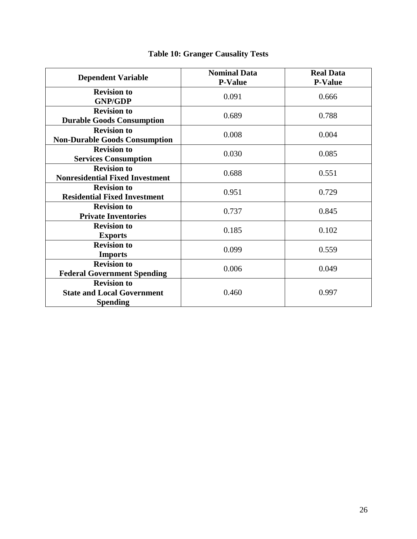| <b>Dependent Variable</b>                                                  | <b>Nominal Data</b><br><b>P-Value</b> | <b>Real Data</b><br><b>P-Value</b> |
|----------------------------------------------------------------------------|---------------------------------------|------------------------------------|
| <b>Revision to</b><br><b>GNP/GDP</b>                                       | 0.091                                 | 0.666                              |
| <b>Revision to</b><br><b>Durable Goods Consumption</b>                     | 0.689                                 | 0.788                              |
| <b>Revision to</b><br><b>Non-Durable Goods Consumption</b>                 | 0.008                                 | 0.004                              |
| <b>Revision to</b><br><b>Services Consumption</b>                          | 0.030                                 | 0.085                              |
| <b>Revision to</b><br><b>Nonresidential Fixed Investment</b>               | 0.688                                 | 0.551                              |
| <b>Revision to</b><br><b>Residential Fixed Investment</b>                  | 0.951                                 | 0.729                              |
| <b>Revision to</b><br><b>Private Inventories</b>                           | 0.737                                 | 0.845                              |
| <b>Revision to</b><br><b>Exports</b>                                       | 0.185                                 | 0.102                              |
| <b>Revision to</b><br><b>Imports</b>                                       | 0.099                                 | 0.559                              |
| <b>Revision to</b><br><b>Federal Government Spending</b>                   | 0.006                                 | 0.049                              |
| <b>Revision to</b><br><b>State and Local Government</b><br><b>Spending</b> | 0.460                                 | 0.997                              |

# **Table 10: Granger Causality Tests**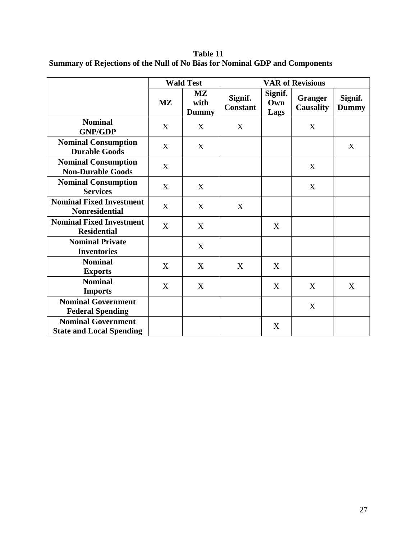**Table 11 Summary of Rejections of the Null of No Bias for Nominal GDP and Components**

|                                                              |                        | <b>Wald Test</b>                               | <b>VAR of Revisions</b>    |                        |                             |                         |
|--------------------------------------------------------------|------------------------|------------------------------------------------|----------------------------|------------------------|-----------------------------|-------------------------|
|                                                              | $\mathbf{M}\mathbf{Z}$ | $\mathbf{M}\mathbf{Z}$<br>with<br><b>Dummy</b> | Signif.<br><b>Constant</b> | Signif.<br>Own<br>Lags | <b>Granger</b><br>Causality | Signif.<br><b>Dummy</b> |
| <b>Nominal</b><br><b>GNP/GDP</b>                             | X                      | X                                              | X                          |                        | X                           |                         |
| <b>Nominal Consumption</b><br><b>Durable Goods</b>           | X                      | X                                              |                            |                        |                             | X                       |
| <b>Nominal Consumption</b><br><b>Non-Durable Goods</b>       | X                      |                                                |                            |                        | X                           |                         |
| <b>Nominal Consumption</b><br><b>Services</b>                | X                      | X                                              |                            |                        | X                           |                         |
| <b>Nominal Fixed Investment</b><br><b>Nonresidential</b>     | X                      | X                                              | X                          |                        |                             |                         |
| <b>Nominal Fixed Investment</b><br><b>Residential</b>        | X                      | X                                              |                            | X                      |                             |                         |
| <b>Nominal Private</b><br><b>Inventories</b>                 |                        | X                                              |                            |                        |                             |                         |
| <b>Nominal</b><br><b>Exports</b>                             | X                      | X                                              | X                          | X                      |                             |                         |
| <b>Nominal</b><br><b>Imports</b>                             | X                      | X                                              |                            | X                      | X                           | X                       |
| <b>Nominal Government</b><br><b>Federal Spending</b>         |                        |                                                |                            |                        | X                           |                         |
| <b>Nominal Government</b><br><b>State and Local Spending</b> |                        |                                                |                            | X                      |                             |                         |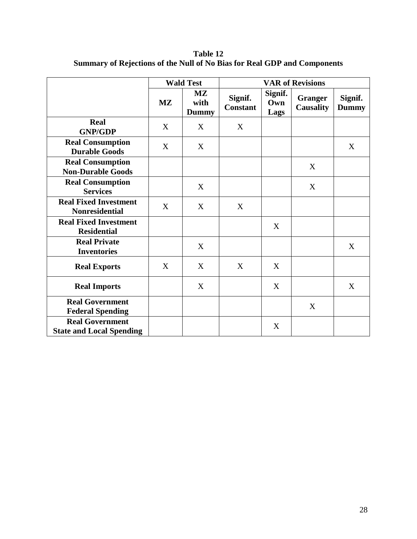**Table 12 Summary of Rejections of the Null of No Bias for Real GDP and Components**

|                                                           |                        | <b>Wald Test</b>                               | <b>VAR of Revisions</b>    |                        |                                    |                         |
|-----------------------------------------------------------|------------------------|------------------------------------------------|----------------------------|------------------------|------------------------------------|-------------------------|
|                                                           | $\mathbf{M}\mathbf{Z}$ | $\mathbf{M}\mathbf{Z}$<br>with<br><b>Dummy</b> | Signif.<br><b>Constant</b> | Signif.<br>Own<br>Lags | <b>Granger</b><br><b>Causality</b> | Signif.<br><b>Dummy</b> |
| <b>Real</b><br><b>GNP/GDP</b>                             | X                      | X                                              | X                          |                        |                                    |                         |
| <b>Real Consumption</b><br><b>Durable Goods</b>           | X                      | X                                              |                            |                        |                                    | X                       |
| <b>Real Consumption</b><br><b>Non-Durable Goods</b>       |                        |                                                |                            |                        | X                                  |                         |
| <b>Real Consumption</b><br><b>Services</b>                |                        | X                                              |                            |                        | X                                  |                         |
| <b>Real Fixed Investment</b><br><b>Nonresidential</b>     | X                      | X                                              | X                          |                        |                                    |                         |
| <b>Real Fixed Investment</b><br><b>Residential</b>        |                        |                                                |                            | X                      |                                    |                         |
| <b>Real Private</b><br><b>Inventories</b>                 |                        | X                                              |                            |                        |                                    | X                       |
| <b>Real Exports</b>                                       | X                      | X                                              | X                          | X                      |                                    |                         |
| <b>Real Imports</b>                                       |                        | X                                              |                            | X                      |                                    | X                       |
| <b>Real Government</b><br><b>Federal Spending</b>         |                        |                                                |                            |                        | X                                  |                         |
| <b>Real Government</b><br><b>State and Local Spending</b> |                        |                                                |                            | X                      |                                    |                         |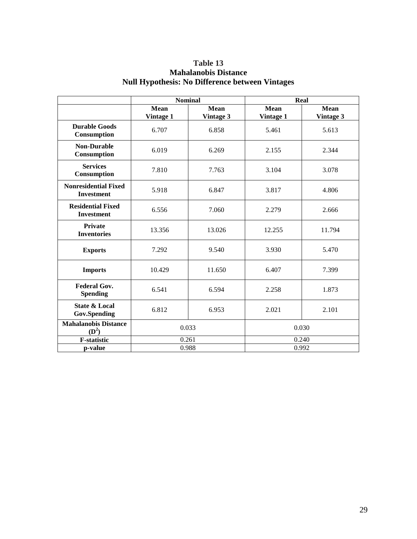| Table 13                                               |  |
|--------------------------------------------------------|--|
| <b>Mahalanobis Distance</b>                            |  |
| <b>Null Hypothesis: No Difference between Vintages</b> |  |

|                                                  | <b>Nominal</b>   |             | Real        |           |
|--------------------------------------------------|------------------|-------------|-------------|-----------|
|                                                  | Mean             | <b>Mean</b> | <b>Mean</b> | Mean      |
|                                                  | <b>Vintage 1</b> | Vintage 3   | Vintage 1   | Vintage 3 |
| <b>Durable Goods</b><br>Consumption              | 6.707            | 6.858       | 5.461       | 5.613     |
| <b>Non-Durable</b><br>Consumption                | 6.019            | 6.269       | 2.155       | 2.344     |
| <b>Services</b><br>Consumption                   | 7.810            | 7.763       | 3.104       | 3.078     |
| <b>Nonresidential Fixed</b><br><b>Investment</b> | 5.918            | 6.847       | 3.817       | 4.806     |
| <b>Residential Fixed</b><br><b>Investment</b>    | 6.556            | 7.060       | 2.279       | 2.666     |
| <b>Private</b><br><b>Inventories</b>             | 13.356           | 13.026      | 12.255      | 11.794    |
| <b>Exports</b>                                   | 7.292            | 9.540       | 3.930       | 5.470     |
| <b>Imports</b>                                   | 10.429           | 11.650      | 6.407       | 7.399     |
| <b>Federal Gov.</b><br><b>Spending</b>           | 6.541            | 6.594       | 2.258       | 1.873     |
| <b>State &amp; Local</b><br><b>Gov.Spending</b>  | 6.812            | 6.953       | 2.021       | 2.101     |
| <b>Mahalanobis Distance</b><br>$(D^2)$           | 0.033            |             | 0.030       |           |
| <b>F-statistic</b>                               | 0.261            |             | 0.240       |           |
| p-value                                          | 0.988            |             | 0.992       |           |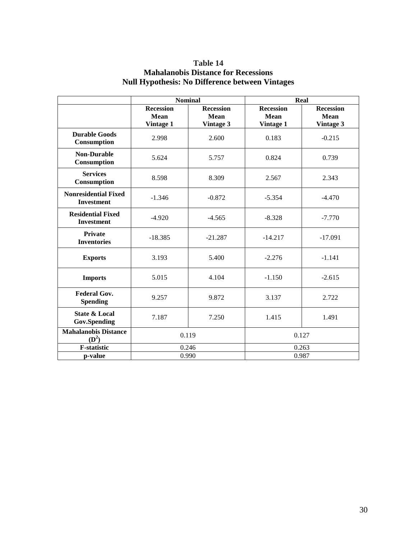| Table 14                                               |
|--------------------------------------------------------|
| <b>Mahalanobis Distance for Recessions</b>             |
| <b>Null Hypothesis: No Difference between Vintages</b> |

|                                                  | <b>Nominal</b>   |                  | Real             |                  |
|--------------------------------------------------|------------------|------------------|------------------|------------------|
|                                                  | <b>Recession</b> | <b>Recession</b> | <b>Recession</b> | <b>Recession</b> |
|                                                  | Mean             | Mean             | <b>Mean</b>      | <b>Mean</b>      |
|                                                  | <b>Vintage 1</b> | Vintage 3        | <b>Vintage 1</b> | Vintage 3        |
| <b>Durable Goods</b><br>Consumption              | 2.998            | 2.600            | 0.183            | $-0.215$         |
| <b>Non-Durable</b><br>Consumption                | 5.624            | 5.757            | 0.824            | 0.739            |
| <b>Services</b><br>Consumption                   | 8.598            | 8.309            | 2.567            | 2.343            |
| <b>Nonresidential Fixed</b><br><b>Investment</b> | $-1.346$         | $-0.872$         | $-5.354$         | $-4.470$         |
| <b>Residential Fixed</b><br><b>Investment</b>    | $-4.920$         | $-4.565$         | $-8.328$         | $-7.770$         |
| <b>Private</b><br><b>Inventories</b>             | $-18.385$        | $-21.287$        | $-14.217$        | $-17.091$        |
| <b>Exports</b>                                   | 3.193            | 5.400            | $-2.276$         | $-1.141$         |
| <b>Imports</b>                                   | 5.015            | 4.104            | $-1.150$         | $-2.615$         |
| <b>Federal Gov.</b><br><b>Spending</b>           | 9.257            | 9.872            | 3.137            | 2.722            |
| <b>State &amp; Local</b><br><b>Gov.Spending</b>  | 7.187            | 7.250            | 1.415            | 1.491            |
| <b>Mahalanobis Distance</b><br>$(D^2)$           | 0.119            |                  |                  | 0.127            |
| <b>F-statistic</b>                               | 0.246            |                  | 0.263            |                  |
| p-value                                          | 0.990            |                  | 0.987            |                  |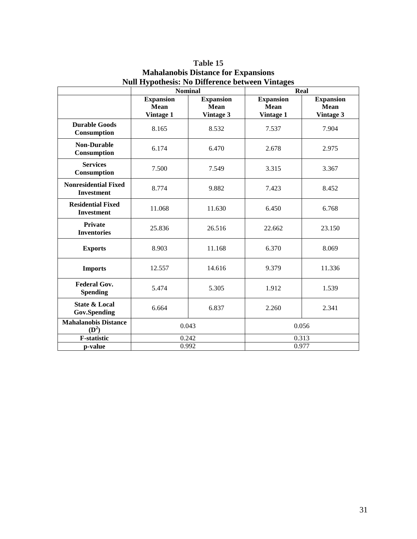|                                                  | <b>Nominal</b>                               |                                              | Real                                         |                                       |
|--------------------------------------------------|----------------------------------------------|----------------------------------------------|----------------------------------------------|---------------------------------------|
|                                                  | <b>Expansion</b><br>Mean<br><b>Vintage 1</b> | <b>Expansion</b><br><b>Mean</b><br>Vintage 3 | <b>Expansion</b><br><b>Mean</b><br>Vintage 1 | <b>Expansion</b><br>Mean<br>Vintage 3 |
| <b>Durable Goods</b><br>Consumption              | 8.165                                        | 8.532                                        | 7.537                                        | 7.904                                 |
| <b>Non-Durable</b><br>Consumption                | 6.174                                        | 6.470                                        | 2.678                                        | 2.975                                 |
| <b>Services</b><br>Consumption                   | 7.500                                        | 7.549                                        | 3.315                                        | 3.367                                 |
| <b>Nonresidential Fixed</b><br><b>Investment</b> | 8.774                                        | 9.882                                        | 7.423                                        | 8.452                                 |
| <b>Residential Fixed</b><br><b>Investment</b>    | 11.068                                       | 11.630                                       | 6.450                                        | 6.768                                 |
| <b>Private</b><br><b>Inventories</b>             | 25.836                                       | 26.516                                       | 22.662                                       | 23.150                                |
| <b>Exports</b>                                   | 8.903                                        | 11.168                                       | 6.370                                        | 8.069                                 |
| <b>Imports</b>                                   | 12.557                                       | 14.616                                       | 9.379                                        | 11.336                                |
| <b>Federal Gov.</b><br><b>Spending</b>           | 5.474                                        | 5.305                                        | 1.912                                        | 1.539                                 |
| <b>State &amp; Local</b><br><b>Gov.Spending</b>  | 6.664                                        | 6.837                                        | 2.260                                        | 2.341                                 |
| <b>Mahalanobis Distance</b><br>$(D^2)$           | 0.043                                        |                                              | 0.056                                        |                                       |
| <b>F-statistic</b>                               | 0.242                                        |                                              | 0.313                                        |                                       |
| p-value                                          | 0.992                                        |                                              | 0.977                                        |                                       |

**Table 15 Mahalanobis Distance for Expansions Null Hypothesis: No Difference between Vintages**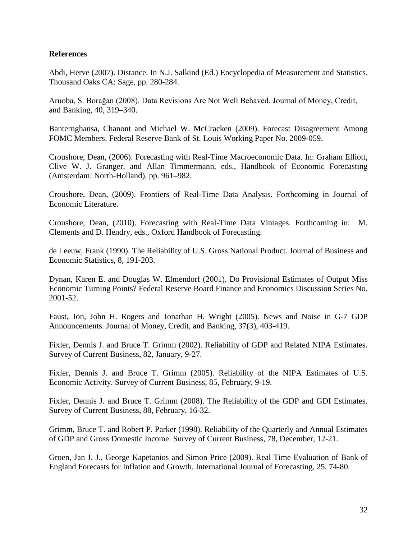### **References**

Abdi, Herve (2007). Distance. In N.J. Salkind (Ed.) Encyclopedia of Measurement and Statistics. Thousand Oaks CA: Sage, pp. 280-284.

Aruoba, S. Borağan (2008). Data Revisions Are Not Well Behaved. Journal of Money, Credit, and Banking, 40, 319–340.

Banternghansa, Chanont and Michael W. McCracken (2009). Forecast Disagreement Among FOMC Members. Federal Reserve Bank of St. Louis Working Paper No. 2009-059.

Croushore, Dean, (2006). Forecasting with Real-Time Macroeconomic Data. In: Graham Elliott, Clive W. J. Granger, and Allan Timmermann, eds., Handbook of Economic Forecasting (Amsterdam: North-Holland), pp. 961–982.

Croushore, Dean, (2009). Frontiers of Real-Time Data Analysis. Forthcoming in Journal of Economic Literature.

Croushore, Dean, (2010). Forecasting with Real-Time Data Vintages. Forthcoming in: M. Clements and D. Hendry, eds., Oxford Handbook of Forecasting.

de Leeuw, Frank (1990). The Reliability of U.S. Gross National Product. Journal of Business and Economic Statistics, 8, 191-203.

Dynan, Karen E. and Douglas W. Elmendorf (2001). Do Provisional Estimates of Output Miss Economic Turning Points? Federal Reserve Board Finance and Economics Discussion Series No. 2001-52.

Faust, Jon, John H. Rogers and Jonathan H. Wright (2005). News and Noise in G-7 GDP Announcements. Journal of Money, Credit, and Banking, 37(3), 403-419.

Fixler, Dennis J. and Bruce T. Grimm (2002). Reliability of GDP and Related NIPA Estimates. Survey of Current Business, 82, January, 9-27.

Fixler, Dennis J. and Bruce T. Grimm (2005). Reliability of the NIPA Estimates of U.S. Economic Activity. Survey of Current Business, 85, February, 9-19.

Fixler, Dennis J. and Bruce T. Grimm (2008). The Reliability of the GDP and GDI Estimates. Survey of Current Business, 88, February, 16-32.

Grimm, Bruce T. and Robert P. Parker (1998). Reliability of the Quarterly and Annual Estimates of GDP and Gross Domestic Income. Survey of Current Business, 78, December, 12-21.

Groen, Jan J. J., George Kapetanios and Simon Price (2009). Real Time Evaluation of Bank of England Forecasts for Inflation and Growth. International Journal of Forecasting, 25, 74-80.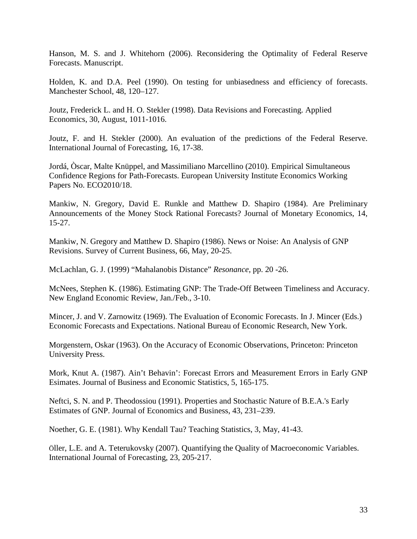Hanson, M. S. and J. Whitehorn (2006). Reconsidering the Optimality of Federal Reserve Forecasts. Manuscript.

Holden, K. and D.A. Peel (1990). On testing for unbiasedness and efficiency of forecasts. Manchester School, 48, 120–127.

Joutz, Frederick L. and H. O. Stekler (1998). Data Revisions and Forecasting. Applied Economics, 30, August, 1011-1016.

Joutz, F. and H. Stekler (2000). An evaluation of the predictions of the Federal Reserve. International Journal of Forecasting, 16, 17-38.

Jordá, Òscar, Malte Knüppel, and Massimiliano Marcellino (2010). Empirical Simultaneous Confidence Regions for Path-Forecasts. European University Institute Economics Working Papers No. ECO2010/18.

Mankiw, N. Gregory, David E. Runkle and Matthew D. Shapiro (1984). Are Preliminary Announcements of the Money Stock Rational Forecasts? Journal of Monetary Economics, 14, 15-27.

Mankiw, N. Gregory and Matthew D. Shapiro (1986). News or Noise: An Analysis of GNP Revisions. Survey of Current Business, 66, May, 20-25.

McLachlan, G. J. (1999) "Mahalanobis Distance" *Resonance*, pp. 20 -26.

McNees, Stephen K. (1986). Estimating GNP: The Trade-Off Between Timeliness and Accuracy. New England Economic Review, Jan./Feb., 3-10.

Mincer, J. and V. Zarnowitz (1969). The Evaluation of Economic Forecasts. In J. Mincer (Eds.) Economic Forecasts and Expectations. National Bureau of Economic Research, New York.

Morgenstern, Oskar (1963). On the Accuracy of Economic Observations, Princeton: Princeton University Press.

Mork, Knut A. (1987). Ain't Behavin': Forecast Errors and Measurement Errors in Early GNP Esimates. Journal of Business and Economic Statistics, 5, 165-175.

Neftci, S. N. and P. Theodossiou (1991). Properties and Stochastic Nature of B.E.A.'s Early Estimates of GNP. Journal of Economics and Business, 43, 231–239.

Noether, G. E. (1981). Why Kendall Tau? Teaching Statistics, 3, May, 41-43.

Öller, L.E. and A. Teterukovsky (2007). Quantifying the Quality of Macroeconomic Variables. International Journal of Forecasting, 23, 205-217.